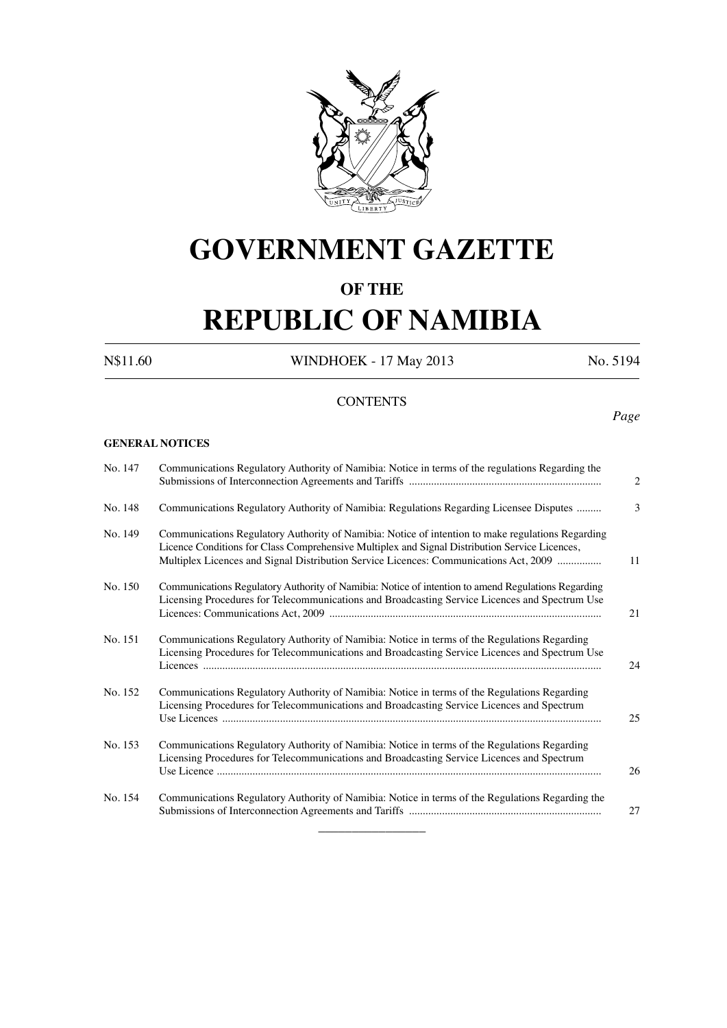

# **GOVERNMENT GAZETTE**

### **OF THE**

# **REPUBLIC OF NAMIBIA**

N\$11.60 WINDHOEK - 17 May 2013 No. 5194

### **CONTENTS**

*Page*

#### **GENERAL NOTICES**

| No. 147 | Communications Regulatory Authority of Namibia: Notice in terms of the regulations Regarding the                                                                                                                                                                                             | 2  |
|---------|----------------------------------------------------------------------------------------------------------------------------------------------------------------------------------------------------------------------------------------------------------------------------------------------|----|
| No. 148 | Communications Regulatory Authority of Namibia: Regulations Regarding Licensee Disputes                                                                                                                                                                                                      | 3  |
| No. 149 | Communications Regulatory Authority of Namibia: Notice of intention to make regulations Regarding<br>Licence Conditions for Class Comprehensive Multiplex and Signal Distribution Service Licences,<br>Multiplex Licences and Signal Distribution Service Licences: Communications Act, 2009 | 11 |
| No. 150 | Communications Regulatory Authority of Namibia: Notice of intention to amend Regulations Regarding<br>Licensing Procedures for Telecommunications and Broadcasting Service Licences and Spectrum Use                                                                                         | 21 |
| No. 151 | Communications Regulatory Authority of Namibia: Notice in terms of the Regulations Regarding<br>Licensing Procedures for Telecommunications and Broadcasting Service Licences and Spectrum Use                                                                                               | 24 |
| No. 152 | Communications Regulatory Authority of Namibia: Notice in terms of the Regulations Regarding<br>Licensing Procedures for Telecommunications and Broadcasting Service Licences and Spectrum                                                                                                   | 25 |
| No. 153 | Communications Regulatory Authority of Namibia: Notice in terms of the Regulations Regarding<br>Licensing Procedures for Telecommunications and Broadcasting Service Licences and Spectrum                                                                                                   | 26 |
| No. 154 | Communications Regulatory Authority of Namibia: Notice in terms of the Regulations Regarding the                                                                                                                                                                                             | 27 |

 $\overline{\phantom{a}}$  , where  $\overline{\phantom{a}}$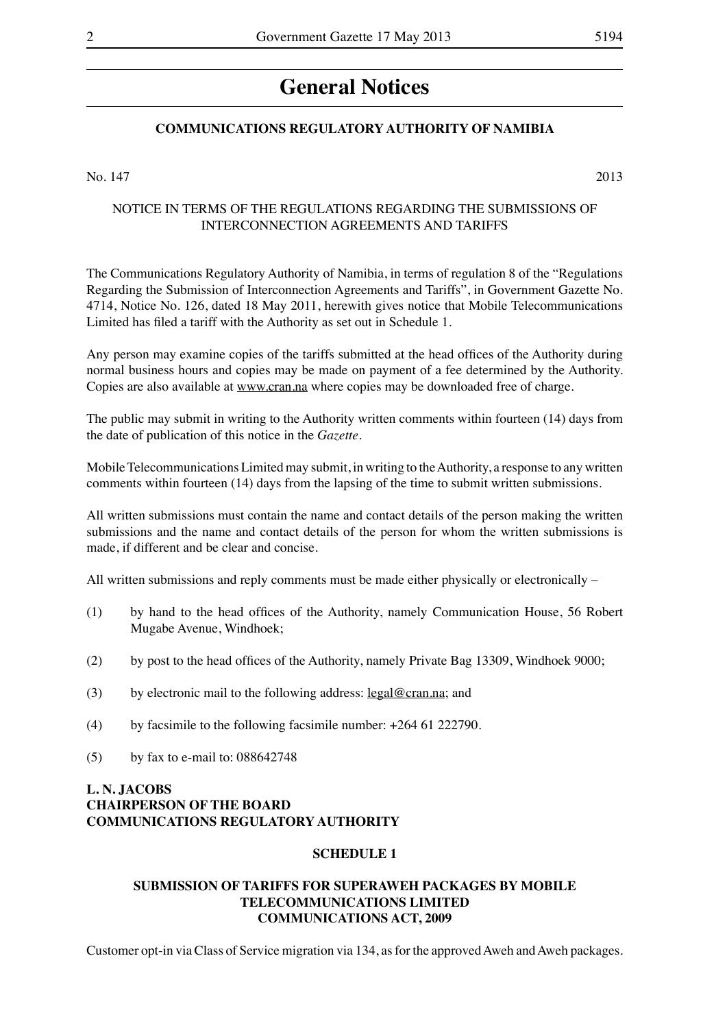## **General Notices**

#### **COMMUNICATIONS REGULATORY AUTHORITY OF NAMIBIA**

No.  $147$  2013

#### NOTICE IN TERMS OF THE REGULATIONS REGARDING THE SUBMISSIONS OF INTERCONNECTION AGREEMENTS AND TARIFFS

The Communications Regulatory Authority of Namibia, in terms of regulation 8 of the "Regulations Regarding the Submission of Interconnection Agreements and Tariffs", in Government Gazette No. 4714, Notice No. 126, dated 18 May 2011, herewith gives notice that Mobile Telecommunications Limited has filed a tariff with the Authority as set out in Schedule 1.

Any person may examine copies of the tariffs submitted at the head offices of the Authority during normal business hours and copies may be made on payment of a fee determined by the Authority. Copies are also available at www.cran.na where copies may be downloaded free of charge.

The public may submit in writing to the Authority written comments within fourteen (14) days from the date of publication of this notice in the *Gazette*.

Mobile Telecommunications Limited may submit, in writing to the Authority, a response to any written comments within fourteen (14) days from the lapsing of the time to submit written submissions.

All written submissions must contain the name and contact details of the person making the written submissions and the name and contact details of the person for whom the written submissions is made, if different and be clear and concise.

All written submissions and reply comments must be made either physically or electronically –

- (1) by hand to the head offices of the Authority, namely Communication House, 56 Robert Mugabe Avenue, Windhoek;
- (2) by post to the head offices of the Authority, namely Private Bag 13309, Windhoek 9000;
- (3) by electronic mail to the following address:  $\text{legal@cran.na}$ ; and
- (4) by facsimile to the following facsimile number:  $+26461222790$ .
- $(5)$  by fax to e-mail to: 088642748

#### **L. N. JACOBS CHAIRPERSON OF THE BOARD COMMUNICATIONS REGULATORY AUTHORITY**

#### **SCHEDULE 1**

#### **SUBMISSION OF TARIFFS FOR SUPERAWEH PACKAGES BY MOBILE TELECOMMUNICATIONS LIMITED COMMUNICATIONS ACT, 2009**

Customer opt-in via Class of Service migration via 134, as for the approved Aweh and Aweh packages.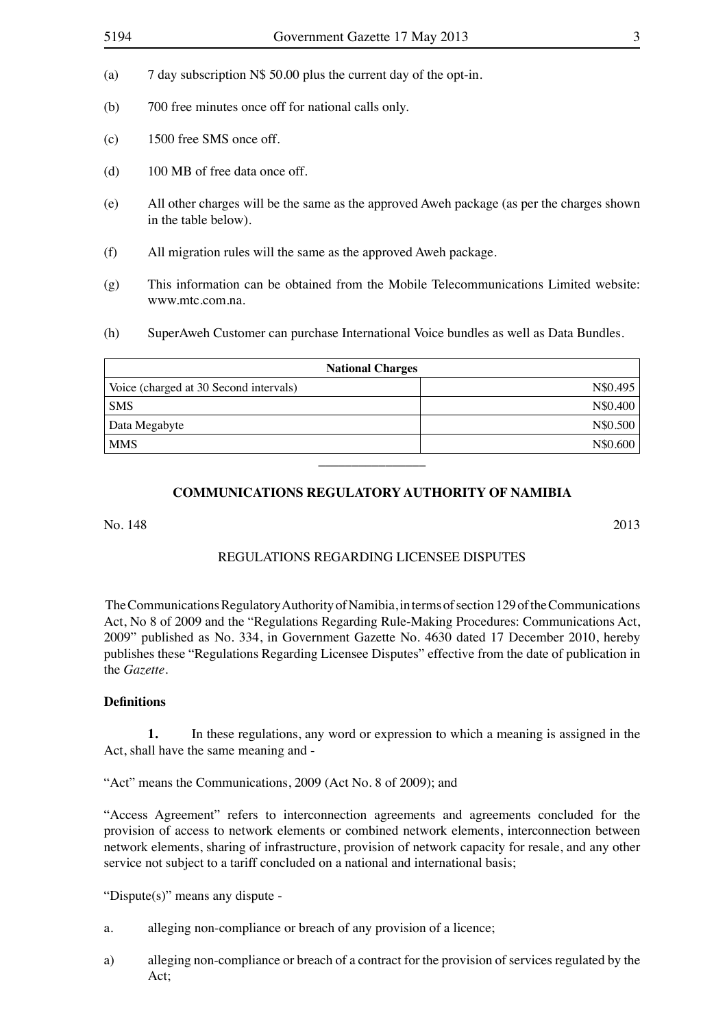- (b) 700 free minutes once off for national calls only.
- (c) 1500 free SMS once off.
- (d)  $100 \text{ MB}$  of free data once off.
- (e) All other charges will be the same as the approved Aweh package (as per the charges shown in the table below).
- (f) All migration rules will the same as the approved Aweh package.
- (g) This information can be obtained from the Mobile Telecommunications Limited website: www.mtc.com.na.
- (h) SuperAweh Customer can purchase International Voice bundles as well as Data Bundles.

| <b>National Charges</b>                |          |  |  |  |  |  |  |
|----------------------------------------|----------|--|--|--|--|--|--|
| Voice (charged at 30 Second intervals) | N\$0.495 |  |  |  |  |  |  |
| <b>SMS</b>                             | N\$0.400 |  |  |  |  |  |  |
| Data Megabyte                          | N\$0.500 |  |  |  |  |  |  |
| <b>MMS</b>                             | N\$0.600 |  |  |  |  |  |  |
|                                        |          |  |  |  |  |  |  |

#### **COMMUNICATIONS REGULATORY AUTHORITY OF NAMIBIA**

No. 148 2013

#### Regulations Regarding Licensee Disputes

The Communications Regulatory Authority of Namibia, in terms of section 129 of the Communications Act, No 8 of 2009 and the "Regulations Regarding Rule-Making Procedures: Communications Act, 2009" published as No. 334, in Government Gazette No. 4630 dated 17 December 2010, hereby publishes these "Regulations Regarding Licensee Disputes" effective from the date of publication in the *Gazette.*

#### **Definitions**

**1.** In these regulations, any word or expression to which a meaning is assigned in the Act, shall have the same meaning and -

"Act" means the Communications, 2009 (Act No. 8 of 2009); and

"Access Agreement" refers to interconnection agreements and agreements concluded for the provision of access to network elements or combined network elements, interconnection between network elements, sharing of infrastructure, provision of network capacity for resale, and any other service not subject to a tariff concluded on a national and international basis;

"Dispute(s)" means any dispute -

- a. alleging non-compliance or breach of any provision of a licence;
- a) alleging non-compliance or breach of a contract for the provision of services regulated by the Act;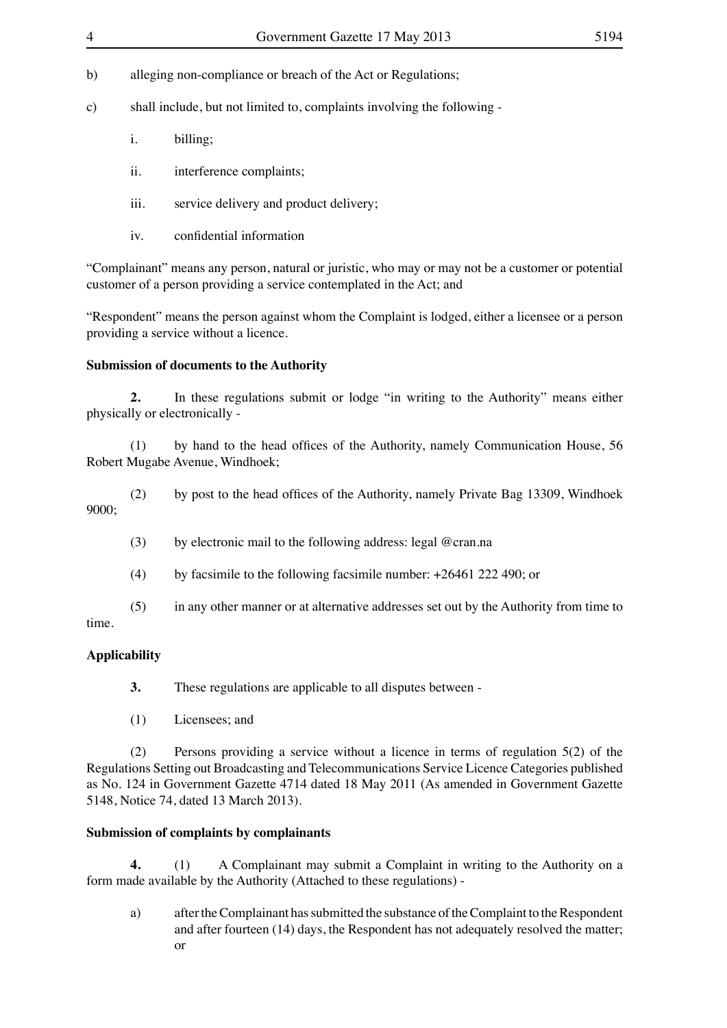- b) alleging non-compliance or breach of the Act or Regulations;
- c) shall include, but not limited to, complaints involving the following
	- i. billing;
	- ii. interference complaints;
	- iii. service delivery and product delivery;
	- iv. confidential information

"Complainant" means any person, natural or juristic, who may or may not be a customer or potential customer of a person providing a service contemplated in the Act; and

"Respondent" means the person against whom the Complaint is lodged, either a licensee or a person providing a service without a licence.

#### **Submission of documents to the Authority**

**2.** In these regulations submit or lodge "in writing to the Authority" means either physically or electronically -

 (1) by hand to the head offices of the Authority, namely Communication House, 56 Robert Mugabe Avenue, Windhoek;

 (2) by post to the head offices of the Authority, namely Private Bag 13309, Windhoek 9000;

- (3) by electronic mail to the following address: legal  $@$ cran.na
- (4) by facsimile to the following facsimile number:  $+26461 222 490$ ; or

 (5) in any other manner or at alternative addresses set out by the Authority from time to time.

### **Applicability**

**3.** These regulations are applicable to all disputes between -

 (1) Licensees; and

 (2) Persons providing a service without a licence in terms of regulation 5(2) of the Regulations Setting out Broadcasting and Telecommunications Service Licence Categories published as No. 124 in Government Gazette 4714 dated 18 May 2011 (As amended in Government Gazette 5148, Notice 74, dated 13 March 2013).

#### **Submission of complaints by complainants**

**4.** (1) A Complainant may submit a Complaint in writing to the Authority on a form made available by the Authority (Attached to these regulations) -

a) after the Complainant has submitted the substance of the Complaint to the Respondent and after fourteen (14) days, the Respondent has not adequately resolved the matter; or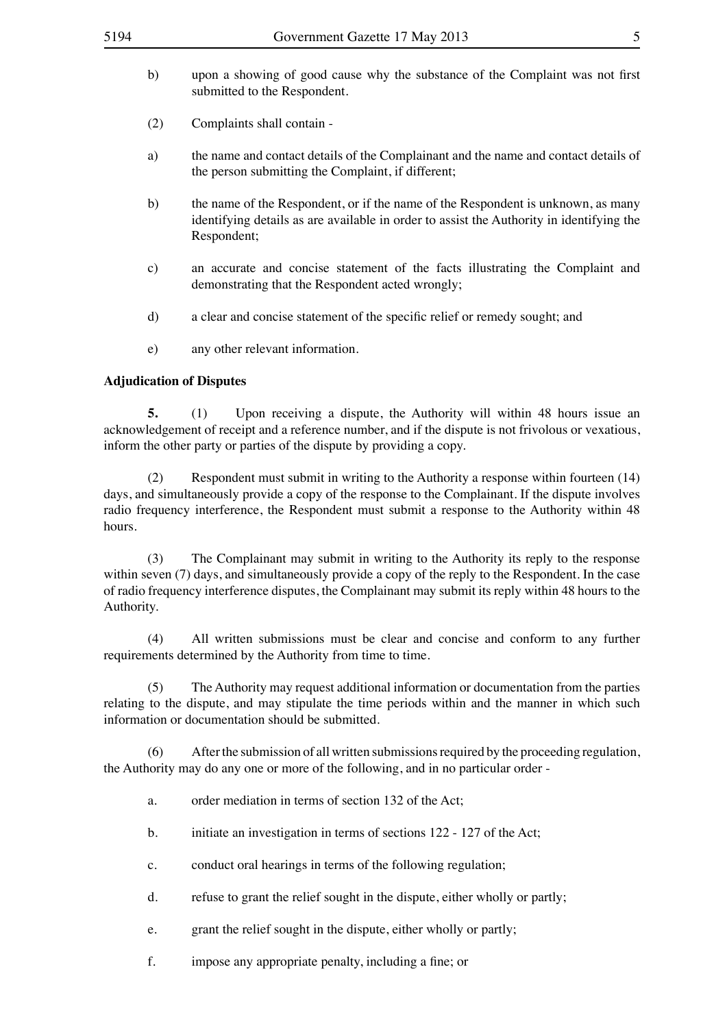- (2) Complaints shall contain -
- a) the name and contact details of the Complainant and the name and contact details of the person submitting the Complaint, if different;
- b) the name of the Respondent, or if the name of the Respondent is unknown, as many identifying details as are available in order to assist the Authority in identifying the Respondent;
- c) an accurate and concise statement of the facts illustrating the Complaint and demonstrating that the Respondent acted wrongly;
- d) a clear and concise statement of the specific relief or remedy sought; and
- e) any other relevant information.

#### **Adjudication of Disputes**

**5.** (1) Upon receiving a dispute, the Authority will within 48 hours issue an acknowledgement of receipt and a reference number, and if the dispute is not frivolous or vexatious, inform the other party or parties of the dispute by providing a copy.

(2) Respondent must submit in writing to the Authority a response within fourteen (14) days, and simultaneously provide a copy of the response to the Complainant. If the dispute involves radio frequency interference, the Respondent must submit a response to the Authority within 48 hours.

 (3) The Complainant may submit in writing to the Authority its reply to the response within seven (7) days, and simultaneously provide a copy of the reply to the Respondent. In the case of radio frequency interference disputes, the Complainant may submit its reply within 48 hours to the Authority.

 (4) All written submissions must be clear and concise and conform to any further requirements determined by the Authority from time to time.

 (5) The Authority may request additional information or documentation from the parties relating to the dispute, and may stipulate the time periods within and the manner in which such information or documentation should be submitted.

 (6) Afterthe submission of all written submissionsrequired by the proceeding regulation, the Authority may do any one or more of the following, and in no particular order -

- a. order mediation in terms of section 132 of the Act;
- b. initiate an investigation in terms of sections 122 127 of the Act;
- c. conduct oral hearings in terms of the following regulation;
- d. refuse to grant the relief sought in the dispute, either wholly or partly;
- e. grant the relief sought in the dispute, either wholly or partly;
- f. impose any appropriate penalty, including a fine; or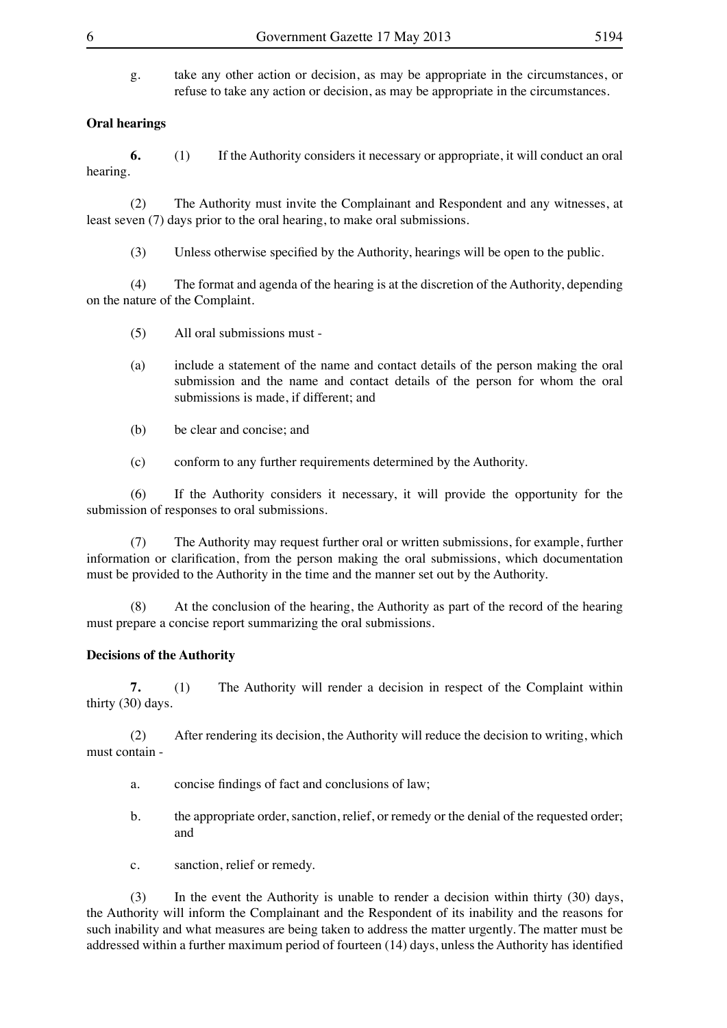g. take any other action or decision, as may be appropriate in the circumstances, or refuse to take any action or decision, as may be appropriate in the circumstances.

#### **Oral hearings**

**6.** (1) If the Authority considers it necessary or appropriate, it will conduct an oral hearing.

 (2) The Authority must invite the Complainant and Respondent and any witnesses, at least seven (7) days prior to the oral hearing, to make oral submissions.

 (3) Unless otherwise specified by the Authority, hearings will be open to the public.

 (4) The format and agenda of the hearing is at the discretion of the Authority, depending on the nature of the Complaint.

- $(5)$  All oral submissions must -
- (a) include a statement of the name and contact details of the person making the oral submission and the name and contact details of the person for whom the oral submissions is made, if different; and
- (b) be clear and concise; and
- (c) conform to any further requirements determined by the Authority.

 (6) If the Authority considers it necessary, it will provide the opportunity for the submission of responses to oral submissions.

 (7) The Authority may request further oral or written submissions, for example, further information or clarification, from the person making the oral submissions, which documentation must be provided to the Authority in the time and the manner set out by the Authority.

 (8) At the conclusion of the hearing, the Authority as part of the record of the hearing must prepare a concise report summarizing the oral submissions.

#### **Decisions of the Authority**

**7.** (1) The Authority will render a decision in respect of the Complaint within thirty (30) days.

 (2) After rendering its decision, the Authority will reduce the decision to writing, which must contain -

- a. concise findings of fact and conclusions of law;
- b. the appropriate order, sanction, relief, or remedy or the denial of the requested order; and
- c. sanction, relief or remedy.

 (3) In the event the Authority is unable to render a decision within thirty (30) days, the Authority will inform the Complainant and the Respondent of its inability and the reasons for such inability and what measures are being taken to address the matter urgently. The matter must be addressed within a further maximum period of fourteen (14) days, unless the Authority has identified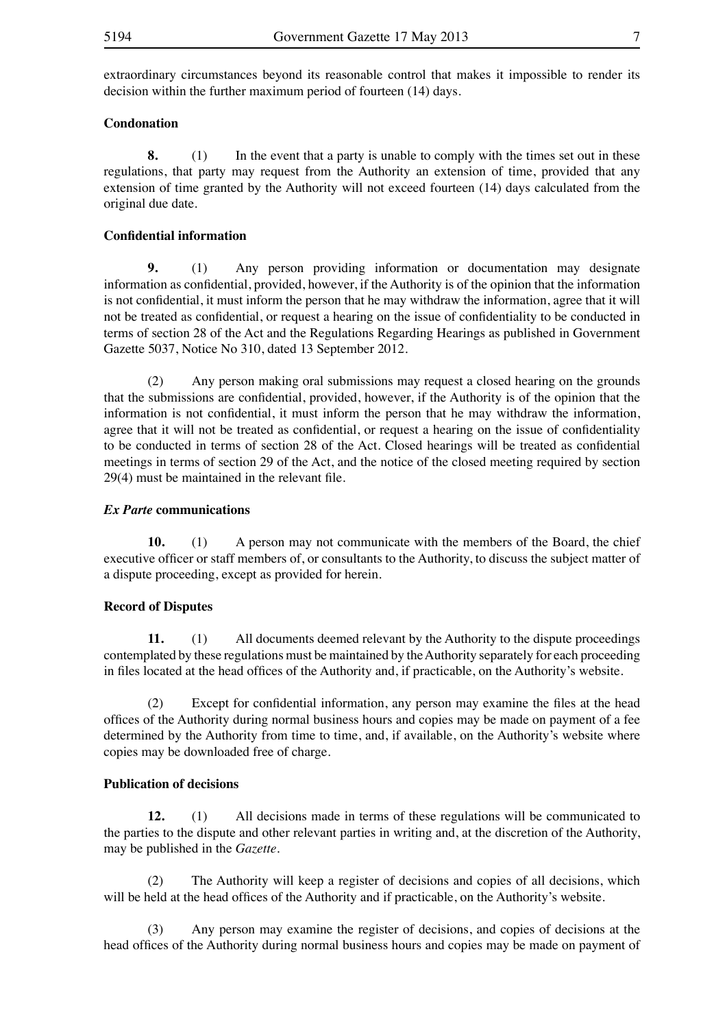extraordinary circumstances beyond its reasonable control that makes it impossible to render its decision within the further maximum period of fourteen (14) days.

#### **Condonation**

**8.** (1) In the event that a party is unable to comply with the times set out in these regulations, that party may request from the Authority an extension of time, provided that any extension of time granted by the Authority will not exceed fourteen (14) days calculated from the original due date.

#### **Confidential information**

**9.** (1) Any person providing information or documentation may designate information as confidential, provided, however, if the Authority is of the opinion that the information is not confidential, it must inform the person that he may withdraw the information, agree that it will not be treated as confidential, or request a hearing on the issue of confidentiality to be conducted in terms of section 28 of the Act and the Regulations Regarding Hearings as published in Government Gazette 5037, Notice No 310, dated 13 September 2012.

 (2) Any person making oral submissions may request a closed hearing on the grounds that the submissions are confidential, provided, however, if the Authority is of the opinion that the information is not confidential, it must inform the person that he may withdraw the information, agree that it will not be treated as confidential, or request a hearing on the issue of confidentiality to be conducted in terms of section 28 of the Act. Closed hearings will be treated as confidential meetings in terms of section 29 of the Act, and the notice of the closed meeting required by section 29(4) must be maintained in the relevant file.

#### *Ex Parte* **communications**

**10.** (1) A person may not communicate with the members of the Board, the chief executive officer or staff members of, or consultants to the Authority, to discuss the subject matter of a dispute proceeding, except as provided for herein.

#### **Record of Disputes**

**11.** (1) All documents deemed relevant by the Authority to the dispute proceedings contemplated by these regulations must be maintained by the Authority separately for each proceeding in files located at the head offices of the Authority and, if practicable, on the Authority's website.

 (2) Except for confidential information, any person may examine the files at the head offices of the Authority during normal business hours and copies may be made on payment of a fee determined by the Authority from time to time, and, if available, on the Authority's website where copies may be downloaded free of charge.

#### **Publication of decisions**

**12.** (1) All decisions made in terms of these regulations will be communicated to the parties to the dispute and other relevant parties in writing and, at the discretion of the Authority, may be published in the *Gazette.*

 (2) The Authority will keep a register of decisions and copies of all decisions, which will be held at the head offices of the Authority and if practicable, on the Authority's website.

 (3) Any person may examine the register of decisions, and copies of decisions at the head offices of the Authority during normal business hours and copies may be made on payment of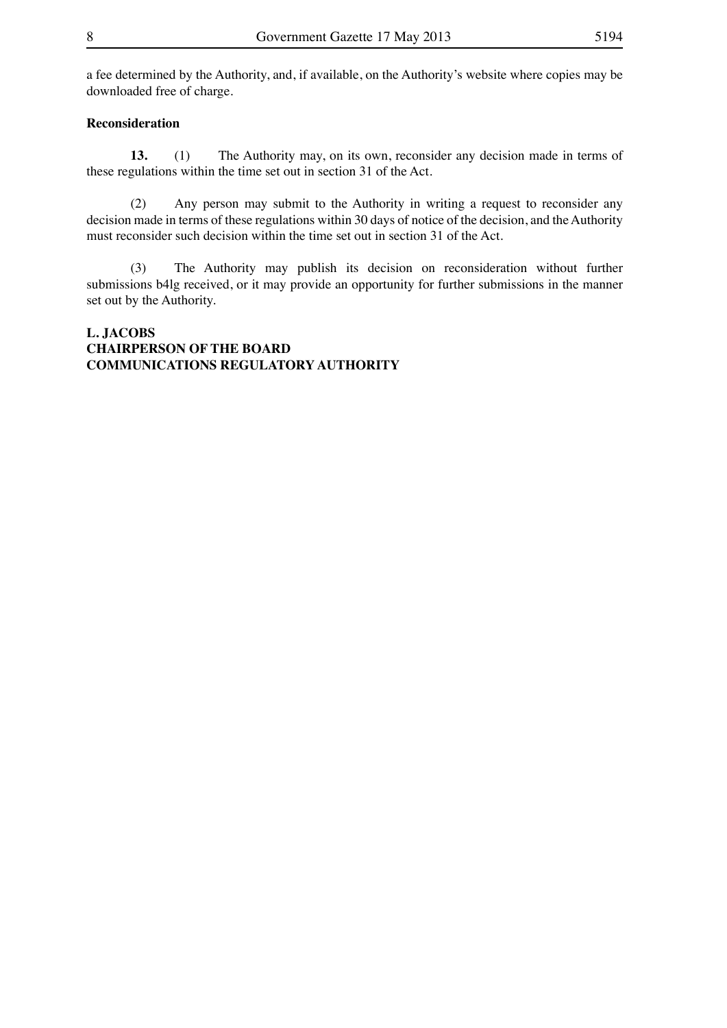a fee determined by the Authority, and, if available, on the Authority's website where copies may be downloaded free of charge.

#### **Reconsideration**

**13.** (1) The Authority may, on its own, reconsider any decision made in terms of these regulations within the time set out in section 31 of the Act.

 (2) Any person may submit to the Authority in writing a request to reconsider any decision made in terms of these regulations within 30 days of notice of the decision, and the Authority must reconsider such decision within the time set out in section 31 of the Act.

 (3) The Authority may publish its decision on reconsideration without further submissions b4lg received, or it may provide an opportunity for further submissions in the manner set out by the Authority.

#### **L. JACOBS CHAIRPERSON OF THE BOARD COMMUNICATIONS REGULATORY AUTHORITY**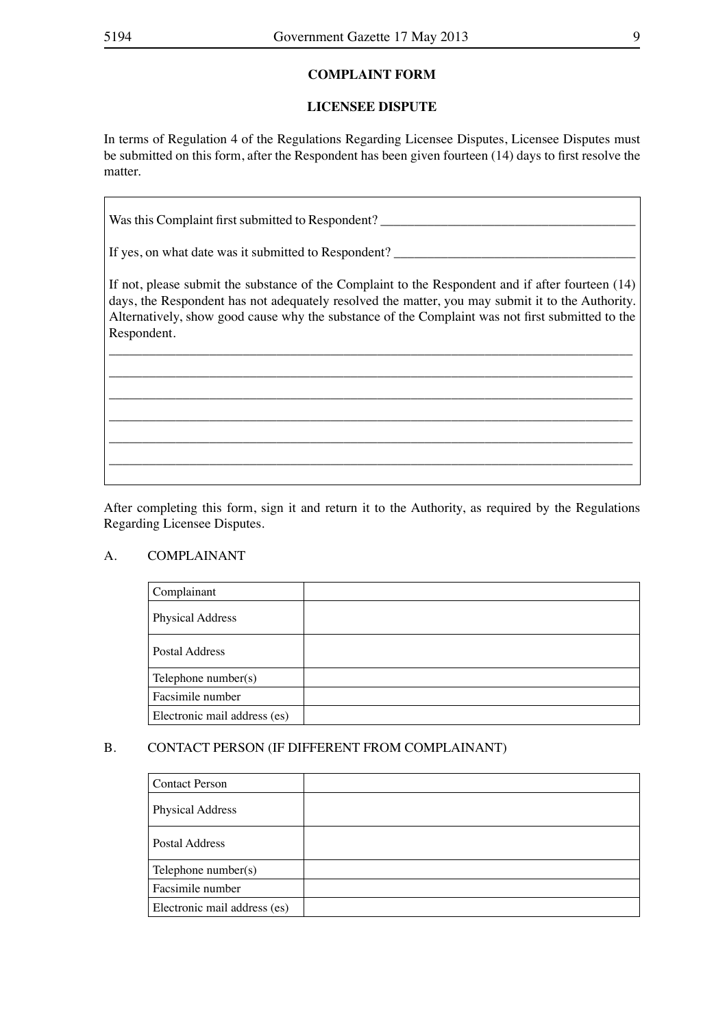#### **COMPLAINT FORM**

#### **LICENSEE DISPUTE**

In terms of Regulation 4 of the Regulations Regarding Licensee Disputes, Licensee Disputes must be submitted on this form, after the Respondent has been given fourteen (14) days to first resolve the matter.

| Was this Complaint first submitted to Respondent?                                                                                                                                                                                                                                                                        |
|--------------------------------------------------------------------------------------------------------------------------------------------------------------------------------------------------------------------------------------------------------------------------------------------------------------------------|
| If yes, on what date was it submitted to Respondent?                                                                                                                                                                                                                                                                     |
| If not, please submit the substance of the Complaint to the Respondent and if after fourteen (14)<br>days, the Respondent has not adequately resolved the matter, you may submit it to the Authority.<br>Alternatively, show good cause why the substance of the Complaint was not first submitted to the<br>Respondent. |
|                                                                                                                                                                                                                                                                                                                          |

After completing this form, sign it and return it to the Authority, as required by the Regulations Regarding Licensee Disputes.

#### A. COMPLAINANT

| Complainant                  |  |
|------------------------------|--|
| <b>Physical Address</b>      |  |
| Postal Address               |  |
| Telephone number(s)          |  |
| Facsimile number             |  |
| Electronic mail address (es) |  |

#### B. CONTACT PERSON (IF DIFFERENT FROM COMPLAINANT)

| <b>Contact Person</b>        |  |
|------------------------------|--|
| <b>Physical Address</b>      |  |
| Postal Address               |  |
| Telephone number $(s)$       |  |
| Facsimile number             |  |
| Electronic mail address (es) |  |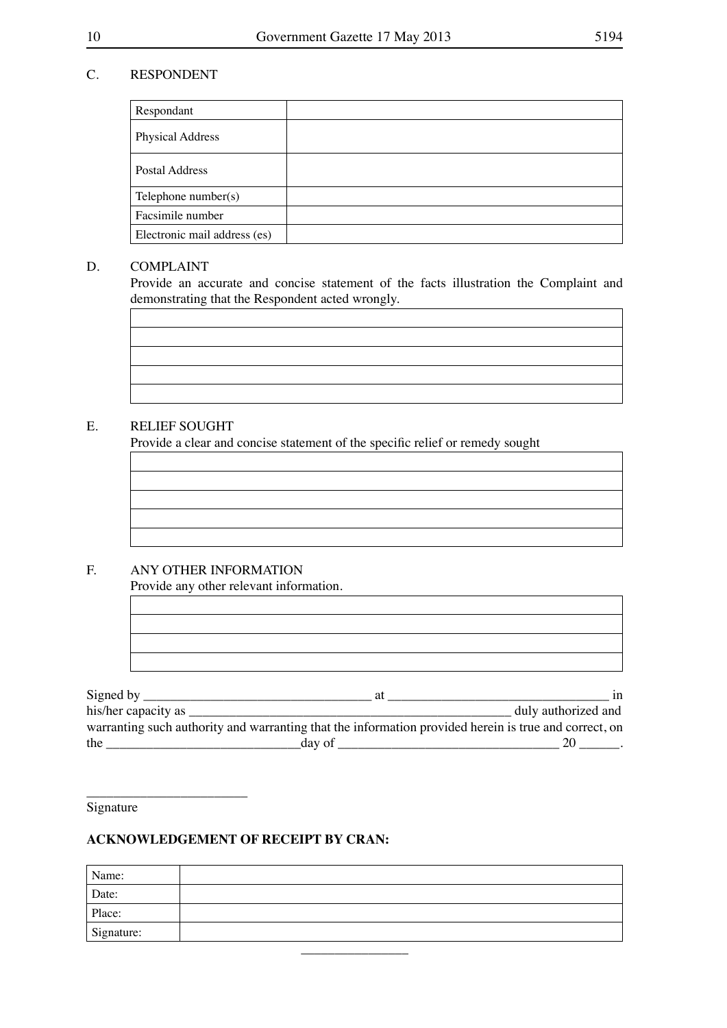### C. RESPONDENT

| Respondant                   |  |
|------------------------------|--|
| <b>Physical Address</b>      |  |
| Postal Address               |  |
| Telephone number $(s)$       |  |
| Facsimile number             |  |
| Electronic mail address (es) |  |

#### D. COMPLAINT

 Provide an accurate and concise statement of the facts illustration the Complaint and demonstrating that the Respondent acted wrongly.

#### E. RELIEF SOUGHT

 Provide a clear and concise statement of the specific relief or remedy sought

### F. ANY OTHER INFORMATION

Provide any other relevant information.

| Signed by           | aт                                                                                                    | 1n                  |
|---------------------|-------------------------------------------------------------------------------------------------------|---------------------|
| his/her capacity as |                                                                                                       | duly authorized and |
|                     | warranting such authority and warranting that the information provided herein is true and correct, on |                     |
| the                 | day of                                                                                                |                     |

Signature

\_\_\_\_\_\_\_\_\_\_\_\_\_\_\_\_\_\_\_\_\_\_\_\_

### **ACKNOWLEDGEMENT OF RECEIPT BY CRAN:**

| Name:      |  |
|------------|--|
| Date:      |  |
| Place:     |  |
| Signature: |  |
|            |  |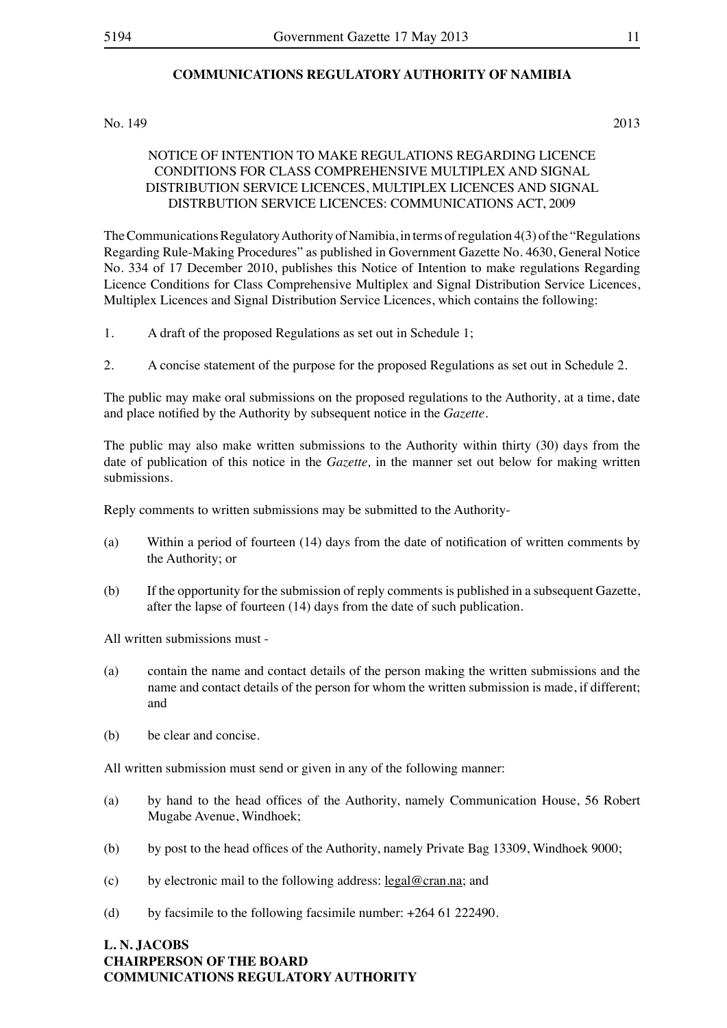#### **COMMUNICATIONS REGULATORY AUTHORITY OF NAMIBIA**

No. 149 2013

#### NOTICE OF INTENTION TO MAKE REGULATIONS REGARDING LICENCE CONDITIONS FOR CLASS COMPREHENSIVE MULTIPLEX AND SIGNAL DISTRIBUTION SERVICE LICENCES, MULTIPLEX LICENCES AND SIGNAL DISTRBUTION SERVICE LICENCES: COMMUNICATIONS ACT, 2009

The Communications Regulatory Authority of Namibia, in terms of regulation 4(3) of the "Regulations" Regarding Rule-Making Procedures" as published in Government Gazette No. 4630, General Notice No. 334 of 17 December 2010, publishes this Notice of Intention to make regulations Regarding Licence Conditions for Class Comprehensive Multiplex and Signal Distribution Service Licences, Multiplex Licences and Signal Distribution Service Licences, which contains the following:

- 1. A draft of the proposed Regulations as set out in Schedule 1;
- 2. A concise statement of the purpose for the proposed Regulations as set out in Schedule 2.

The public may make oral submissions on the proposed regulations to the Authority*,* at a time, date and place notified by the Authority by subsequent notice in the *Gazette.*

The public may also make written submissions to the Authority within thirty (30) days from the date of publication of this notice in the *Gazette,* in the manner set out below for making written submissions.

Reply comments to written submissions may be submitted to the Authority-

- (a) Within a period of fourteen (14) days from the date of notification of written comments by the Authority; or
- (b) If the opportunity for the submission of reply comments is published in a subsequent Gazette, after the lapse of fourteen (14) days from the date of such publication.

All written submissions must -

- (a) contain the name and contact details of the person making the written submissions and the name and contact details of the person for whom the written submission is made, if different; and
- (b) be clear and concise.

All written submission must send or given in any of the following manner:

- (a) by hand to the head offices of the Authority, namely Communication House, 56 Robert Mugabe Avenue, Windhoek;
- (b) by post to the head offices of the Authority, namely Private Bag 13309, Windhoek 9000;
- (c) by electronic mail to the following address:  $\text{legal@cran.na}$ ; and
- (d) by facsimile to the following facsimile number:  $+264$  61 222490.

#### **L. N. JACOBS CHAIRPERSON OF THE BOARD COMMUNICATIONS REGULATORY AUTHORITY**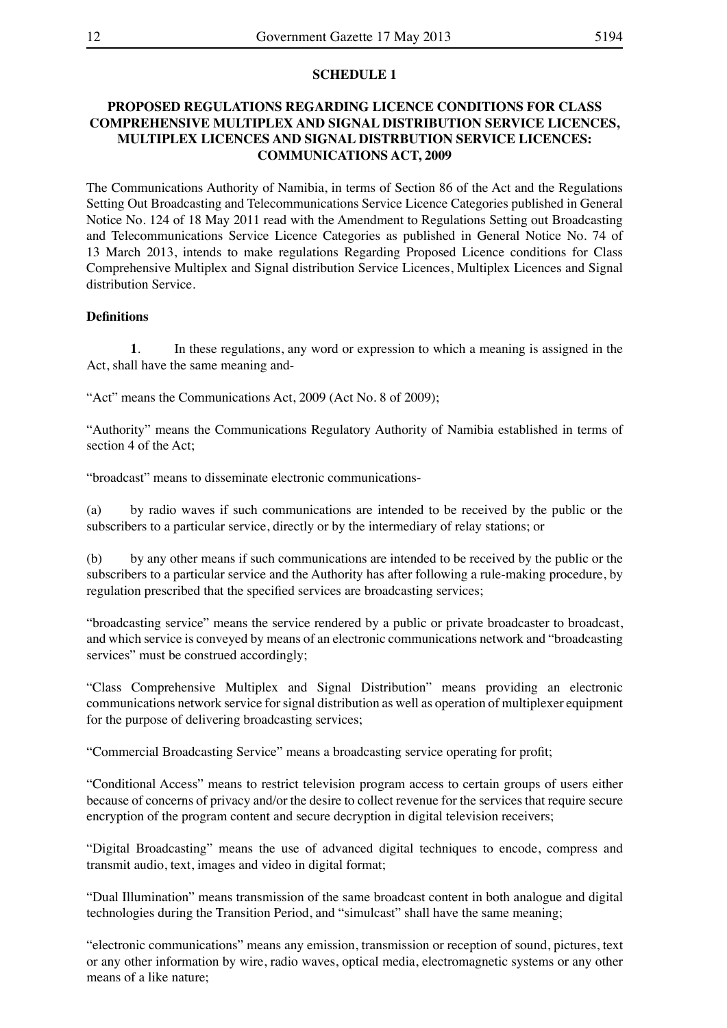#### **SCHEDULE 1**

#### **PROPOSED REGULATIONS REGARDING LICENCE CONDITIONS FOR CLASS COMPREHENSIVE MULTIPLEX AND SIGNAL DISTRIBUTION SERVICE LICENCES, MULTIPLEX LICENCES AND SIGNAL DISTRBUTION SERVICE LICENCES: COMMUNICATIONS ACT, 2009**

The Communications Authority of Namibia, in terms of Section 86 of the Act and the Regulations Setting Out Broadcasting and Telecommunications Service Licence Categories published in General Notice No. 124 of 18 May 2011 read with the Amendment to Regulations Setting out Broadcasting and Telecommunications Service Licence Categories as published in General Notice No. 74 of 13 March 2013, intends to make regulations Regarding Proposed Licence conditions for Class Comprehensive Multiplex and Signal distribution Service Licences, Multiplex Licences and Signal distribution Service.

#### **Definitions**

**1**. In these regulations, any word or expression to which a meaning is assigned in the Act, shall have the same meaning and-

"Act" means the Communications Act, 2009 (Act No. 8 of 2009);

"Authority" means the Communications Regulatory Authority of Namibia established in terms of section 4 of the Act;

"broadcast" means to disseminate electronic communications-

(a) by radio waves if such communications are intended to be received by the public or the subscribers to a particular service, directly or by the intermediary of relay stations; or

(b) by any other means if such communications are intended to be received by the public or the subscribers to a particular service and the Authority has after following a rule-making procedure, by regulation prescribed that the specified services are broadcasting services;

"broadcasting service" means the service rendered by a public or private broadcaster to broadcast, and which service is conveyed by means of an electronic communications network and "broadcasting services" must be construed accordingly;

"Class Comprehensive Multiplex and Signal Distribution" means providing an electronic communications network service forsignal distribution as well as operation of multiplexer equipment for the purpose of delivering broadcasting services;

"Commercial Broadcasting Service" means a broadcasting service operating for profit;

"Conditional Access" means to restrict television program access to certain groups of users either because of concerns of privacy and/or the desire to collect revenue for the services that require secure encryption of the program content and secure decryption in digital television receivers;

"Digital Broadcasting" means the use of advanced digital techniques to encode, compress and transmit audio, text, images and video in digital format;

"Dual Illumination" means transmission of the same broadcast content in both analogue and digital technologies during the Transition Period, and "simulcast" shall have the same meaning;

"electronic communications" means any emission, transmission or reception of sound, pictures, text or any other information by wire, radio waves, optical media, electromagnetic systems or any other means of a like nature;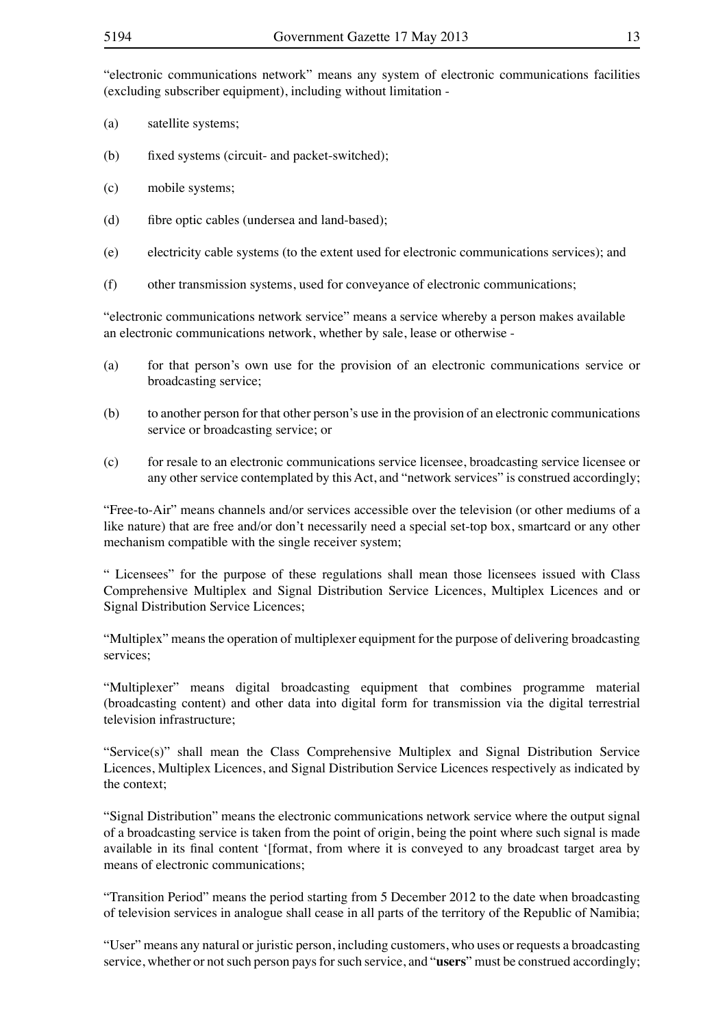"electronic communications network" means any system of electronic communications facilities (excluding subscriber equipment), including without limitation -

- (a) satellite systems;
- (b) fixed systems (circuit- and packet-switched);
- (c) mobile systems;
- (d) fibre optic cables (undersea and land-based);
- (e) electricity cable systems (to the extent used for electronic communications services); and
- (f) other transmission systems, used for conveyance of electronic communications;

"electronic communications network service" means a service whereby a person makes available an electronic communications network, whether by sale, lease or otherwise -

- (a) for that person's own use for the provision of an electronic communications service or broadcasting service;
- (b) to another person for that other person's use in the provision of an electronic communications service or broadcasting service; or
- (c) for resale to an electronic communications service licensee, broadcasting service licensee or any other service contemplated by this Act, and "network services" is construed accordingly;

"Free-to-Air" means channels and/or services accessible over the television (or other mediums of a like nature) that are free and/or don't necessarily need a special set-top box, smartcard or any other mechanism compatible with the single receiver system;

" Licensees" for the purpose of these regulations shall mean those licensees issued with Class Comprehensive Multiplex and Signal Distribution Service Licences, Multiplex Licences and or Signal Distribution Service Licences;

"Multiplex" means the operation of multiplexer equipment for the purpose of delivering broadcasting services;

"Multiplexer" means digital broadcasting equipment that combines programme material (broadcasting content) and other data into digital form for transmission via the digital terrestrial television infrastructure;

"Service(s)" shall mean the Class Comprehensive Multiplex and Signal Distribution Service Licences, Multiplex Licences, and Signal Distribution Service Licences respectively as indicated by the context;

"Signal Distribution" means the electronic communications network service where the output signal of a broadcasting service is taken from the point of origin, being the point where such signal is made available in its final content '[format, from where it is conveyed to any broadcast target area by means of electronic communications;

"Transition Period" means the period starting from 5 December 2012 to the date when broadcasting of television services in analogue shall cease in all parts of the territory of the Republic of Namibia;

"User" means any natural or juristic person, including customers, who uses or requests a broadcasting service, whether or not such person pays for such service, and "**users**" must be construed accordingly;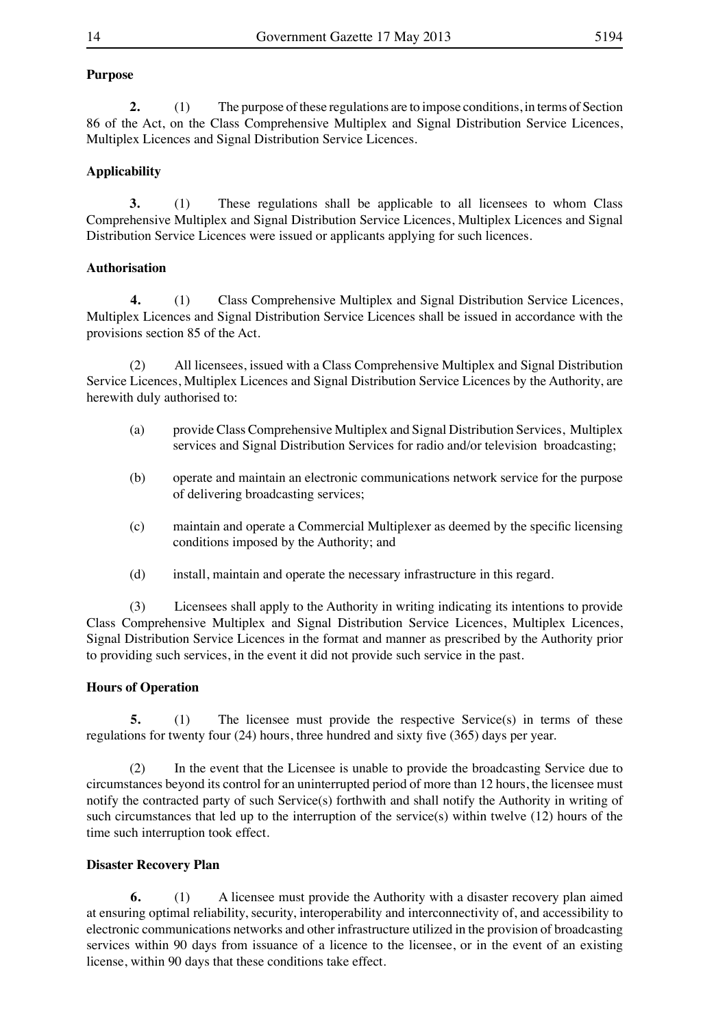#### **Purpose**

**2.** (1) The purpose of these regulations are to impose conditions, in terms of Section 86 of the Act, on the Class Comprehensive Multiplex and Signal Distribution Service Licences, Multiplex Licences and Signal Distribution Service Licences.

#### **Applicability**

**3.** (1) These regulations shall be applicable to all licensees to whom Class Comprehensive Multiplex and Signal Distribution Service Licences, Multiplex Licences and Signal Distribution Service Licences were issued or applicants applying for such licences.

#### **Authorisation**

**4.** (1) Class Comprehensive Multiplex and Signal Distribution Service Licences, Multiplex Licences and Signal Distribution Service Licences shall be issued in accordance with the provisions section 85 of the Act.

(2) All licensees, issued with a Class Comprehensive Multiplex and Signal Distribution Service Licences, Multiplex Licences and Signal Distribution Service Licences by the Authority, are herewith duly authorised to:

- (a) provide Class Comprehensive Multiplex and Signal Distribution Services, Multiplex services and Signal Distribution Services for radio and/or television broadcasting;
- (b) operate and maintain an electronic communications network service for the purpose of delivering broadcasting services;
- (c) maintain and operate a Commercial Multiplexer as deemed by the specific licensing conditions imposed by the Authority; and
- (d) install, maintain and operate the necessary infrastructure in this regard.

(3) Licensees shall apply to the Authority in writing indicating its intentions to provide Class Comprehensive Multiplex and Signal Distribution Service Licences, Multiplex Licences, Signal Distribution Service Licences in the format and manner as prescribed by the Authority prior to providing such services, in the event it did not provide such service in the past.

#### **Hours of Operation**

**5.** (1) The licensee must provide the respective Service(s) in terms of these regulations for twenty four (24) hours, three hundred and sixty five (365) days per year.

(2) In the event that the Licensee is unable to provide the broadcasting Service due to circumstances beyond its control for an uninterrupted period of more than 12 hours, the licensee must notify the contracted party of such Service(s) forthwith and shall notify the Authority in writing of such circumstances that led up to the interruption of the service(s) within twelve (12) hours of the time such interruption took effect.

#### **Disaster Recovery Plan**

**6.** (1) A licensee must provide the Authority with a disaster recovery plan aimed at ensuring optimal reliability, security, interoperability and interconnectivity of, and accessibility to electronic communications networks and other infrastructure utilized in the provision of broadcasting services within 90 days from issuance of a licence to the licensee, or in the event of an existing license, within 90 days that these conditions take effect.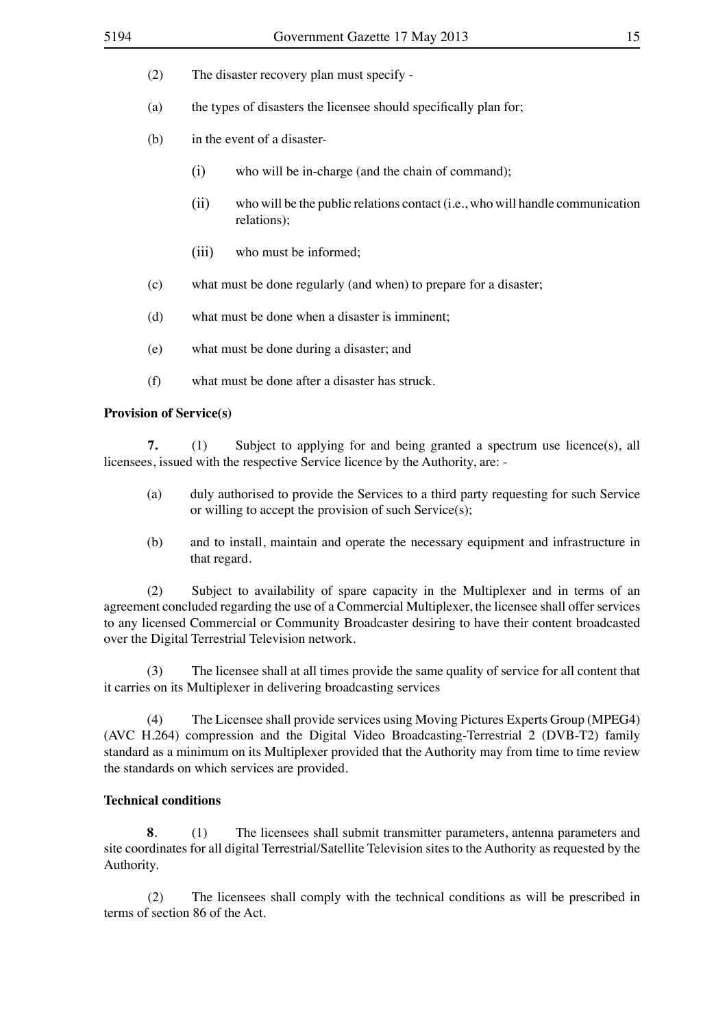$(2)$  The disaster recovery plan must specify -

- (a) the types of disasters the licensee should specifically plan for;
- (b) in the event of a disaster-
	- $(i)$  who will be in-charge (and the chain of command);
	- $(iii)$  who will be the public relations contact (i.e., who will handle communication relations);
	- (iii) who must be informed:
- (c) what must be done regularly (and when) to prepare for a disaster;
- (d) what must be done when a disaster is imminent;
- (e) what must be done during a disaster; and
- (f) what must be done after a disaster has struck.

#### **Provision of Service(s)**

**7.** (1) Subject to applying for and being granted a spectrum use licence(s), all licensees, issued with the respective Service licence by the Authority, are: -

- (a) duly authorised to provide the Services to a third party requesting for such Service or willing to accept the provision of such Service(s);
- (b) and to install, maintain and operate the necessary equipment and infrastructure in that regard.

(2) Subject to availability of spare capacity in the Multiplexer and in terms of an agreement concluded regarding the use of a Commercial Multiplexer, the licensee shall offer services to any licensed Commercial or Community Broadcaster desiring to have their content broadcasted over the Digital Terrestrial Television network.

(3) The licensee shall at all times provide the same quality of service for all content that it carries on its Multiplexer in delivering broadcasting services

(4) The Licensee shall provide services using Moving Pictures Experts Group (MPEG4) (AVC H.264) compression and the Digital Video Broadcasting-Terrestrial 2 (DVB-T2) family standard as a minimum on its Multiplexer provided that the Authority may from time to time review the standards on which services are provided.

#### **Technical conditions**

**8**. (1) The licensees shall submit transmitter parameters, antenna parameters and site coordinates for all digital Terrestrial/Satellite Television sites to the Authority as requested by the Authority.

 (2) The licensees shall comply with the technical conditions as will be prescribed in terms of section 86 of the Act.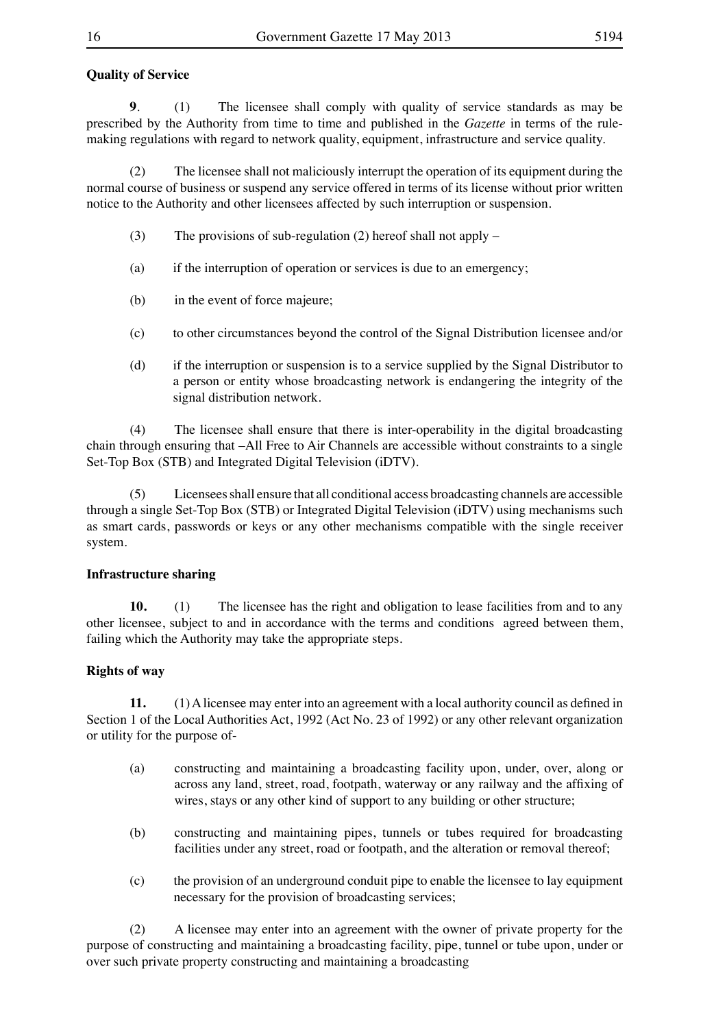#### **Quality of Service**

**9.** (1) The licensee shall comply with quality of service standards as may be prescribed by the Authority from time to time and published in the *Gazette* in terms of the rulemaking regulations with regard to network quality, equipment, infrastructure and service quality.

(2) The licensee shall not maliciously interrupt the operation of its equipment during the normal course of business or suspend any service offered in terms of its license without prior written notice to the Authority and other licensees affected by such interruption or suspension.

- (3) The provisions of sub-regulation (2) hereof shall not apply  $-$
- (a) if the interruption of operation or services is due to an emergency;
- (b) in the event of force majeure;
- (c) to other circumstances beyond the control of the Signal Distribution licensee and/or
- (d) if the interruption or suspension is to a service supplied by the Signal Distributor to a person or entity whose broadcasting network is endangering the integrity of the signal distribution network.

(4) The licensee shall ensure that there is inter-operability in the digital broadcasting chain through ensuring that –All Free to Air Channels are accessible without constraints to a single Set-Top Box (STB) and Integrated Digital Television (iDTV).

(5) Licenseesshall ensure that all conditional access broadcasting channels are accessible through a single Set-Top Box (STB) or Integrated Digital Television (iDTV) using mechanisms such as smart cards, passwords or keys or any other mechanisms compatible with the single receiver system.

#### **Infrastructure sharing**

**10.** (1) The licensee has the right and obligation to lease facilities from and to any other licensee, subject to and in accordance with the terms and conditions agreed between them, failing which the Authority may take the appropriate steps.

#### **Rights of way**

**11.** (1)Alicensee may enter into an agreement with a local authority council as defined in Section 1 of the Local Authorities Act, 1992 (Act No. 23 of 1992) or any other relevant organization or utility for the purpose of-

- (a) constructing and maintaining a broadcasting facility upon, under, over, along or across any land, street, road, footpath, waterway or any railway and the affixing of wires, stays or any other kind of support to any building or other structure;
- (b) constructing and maintaining pipes, tunnels or tubes required for broadcasting facilities under any street, road or footpath, and the alteration or removal thereof;
- (c) the provision of an underground conduit pipe to enable the licensee to lay equipment necessary for the provision of broadcasting services;

(2) A licensee may enter into an agreement with the owner of private property for the purpose of constructing and maintaining a broadcasting facility, pipe, tunnel or tube upon, under or over such private property constructing and maintaining a broadcasting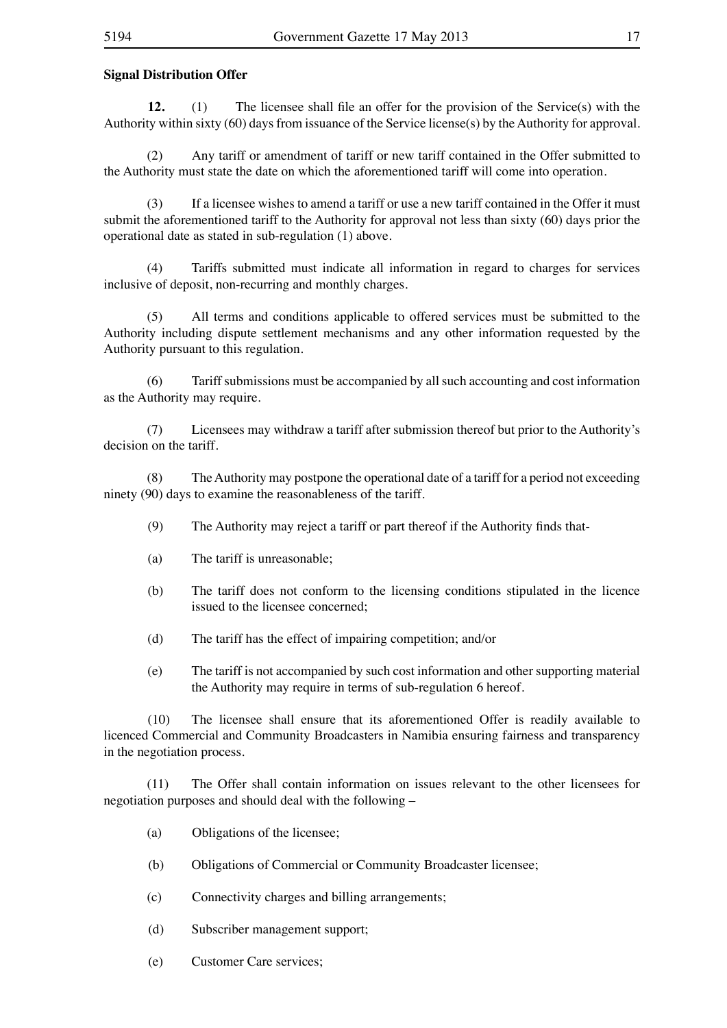#### **Signal Distribution Offer**

**12.** (1) The licensee shall file an offer for the provision of the Service(s) with the Authority within sixty (60) days from issuance of the Service license(s) by the Authority for approval.

(2) Any tariff or amendment of tariff or new tariff contained in the Offer submitted to the Authority must state the date on which the aforementioned tariff will come into operation.

(3) If a licensee wishes to amend a tariff or use a new tariff contained in the Offer it must submit the aforementioned tariff to the Authority for approval not less than sixty (60) days prior the operational date as stated in sub-regulation (1) above.

(4) Tariffs submitted must indicate all information in regard to charges for services inclusive of deposit, non-recurring and monthly charges.

(5) All terms and conditions applicable to offered services must be submitted to the Authority including dispute settlement mechanisms and any other information requested by the Authority pursuant to this regulation.

(6) Tariffsubmissions must be accompanied by allsuch accounting and cost information as the Authority may require.

(7) Licensees may withdraw a tariff after submission thereof but prior to the Authority's decision on the tariff.

(8) TheAuthority may postpone the operational date of a tariff for a period not exceeding ninety (90) days to examine the reasonableness of the tariff.

- (9) The Authority may reject a tariff or part thereof if the Authority finds that-
- (a) The tariff is unreasonable:
- (b) The tariff does not conform to the licensing conditions stipulated in the licence issued to the licensee concerned;
- (d) The tariff has the effect of impairing competition; and/or
- (e) The tariff is not accompanied by such cost information and other supporting material the Authority may require in terms of sub-regulation 6 hereof.

 (10) The licensee shall ensure that its aforementioned Offer is readily available to licenced Commercial and Community Broadcasters in Namibia ensuring fairness and transparency in the negotiation process.

(11) The Offer shall contain information on issues relevant to the other licensees for negotiation purposes and should deal with the following –

- (a) Obligations of the licensee;
- (b) Obligations of Commercial or Community Broadcaster licensee;
- (c) Connectivity charges and billing arrangements;
- (d) Subscriber management support;
- (e) Customer Care services;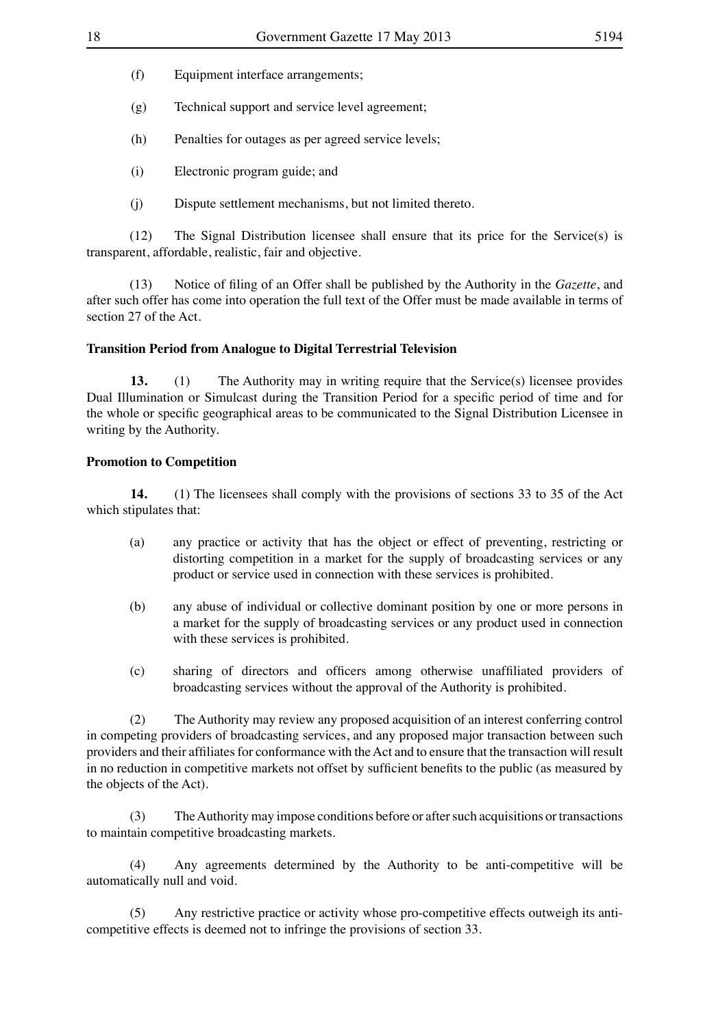- (f) Equipment interface arrangements;
- (g) Technical support and service level agreement;
- (h) Penalties for outages as per agreed service levels;
- (i) Electronic program guide; and
- (j) Dispute settlement mechanisms, but not limited thereto.

(12) The Signal Distribution licensee shall ensure that its price for the Service(s) is transparent, affordable, realistic, fair and objective.

(13) Notice of filing of an Offer shall be published by the Authority in the *Gazette*, and after such offer has come into operation the full text of the Offer must be made available in terms of section 27 of the Act.

#### **Transition Period from Analogue to Digital Terrestrial Television**

**13.** (1) The Authority may in writing require that the Service(s) licensee provides Dual Illumination or Simulcast during the Transition Period for a specific period of time and for the whole or specific geographical areas to be communicated to the Signal Distribution Licensee in writing by the Authority.

#### **Promotion to Competition**

**14.** (1) The licensees shall comply with the provisions of sections 33 to 35 of the Act which stipulates that:

- (a) any practice or activity that has the object or effect of preventing, restricting or distorting competition in a market for the supply of broadcasting services or any product or service used in connection with these services is prohibited.
- (b) any abuse of individual or collective dominant position by one or more persons in a market for the supply of broadcasting services or any product used in connection with these services is prohibited.
- (c) sharing of directors and officers among otherwise unaffiliated providers of broadcasting services without the approval of the Authority is prohibited.

(2) The Authority may review any proposed acquisition of an interest conferring control in competing providers of broadcasting services, and any proposed major transaction between such providers and their affiliates for conformance with the Act and to ensure that the transaction will result in no reduction in competitive markets not offset by sufficient benefits to the public (as measured by the objects of the Act).

(3) TheAuthority may impose conditions before or aftersuch acquisitions ortransactions to maintain competitive broadcasting markets.

(4) Any agreements determined by the Authority to be anti-competitive will be automatically null and void.

(5) Any restrictive practice or activity whose pro-competitive effects outweigh its anticompetitive effects is deemed not to infringe the provisions of section 33.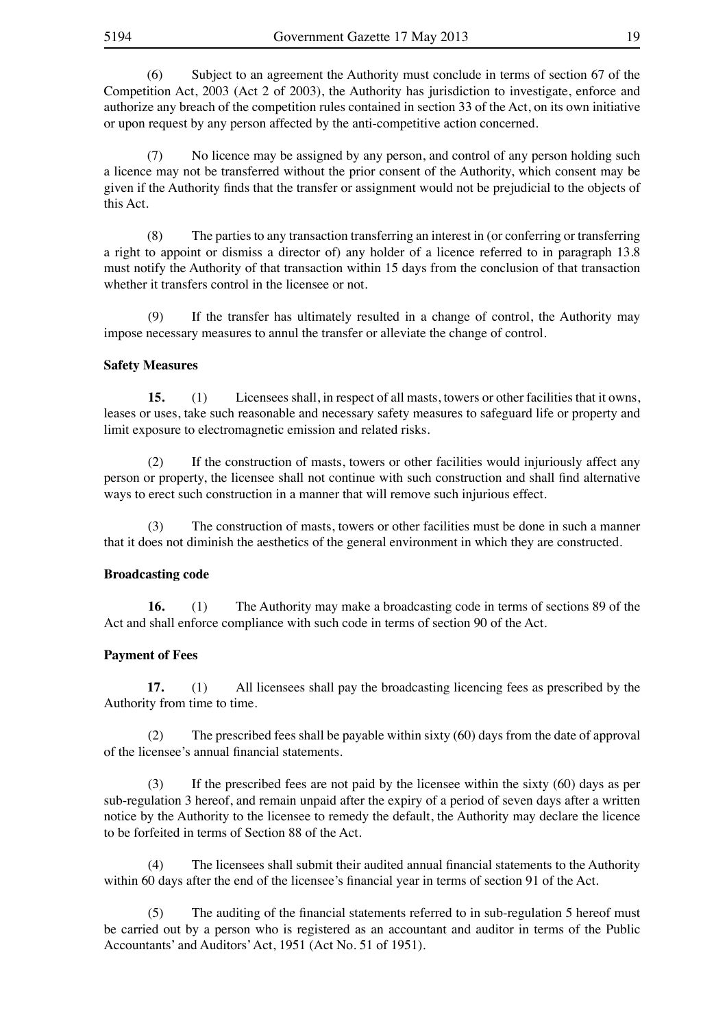(6) Subject to an agreement the Authority must conclude in terms of section 67 of the Competition Act, 2003 (Act 2 of 2003), the Authority has jurisdiction to investigate, enforce and authorize any breach of the competition rules contained in section 33 of the Act, on its own initiative or upon request by any person affected by the anti-competitive action concerned.

(7) No licence may be assigned by any person, and control of any person holding such a licence may not be transferred without the prior consent of the Authority, which consent may be given if the Authority finds that the transfer or assignment would not be prejudicial to the objects of this Act.

(8) The parties to any transaction transferring an interest in (or conferring or transferring a right to appoint or dismiss a director of) any holder of a licence referred to in paragraph 13.8 must notify the Authority of that transaction within 15 days from the conclusion of that transaction whether it transfers control in the licensee or not.

 (9) If the transfer has ultimately resulted in a change of control, the Authority may impose necessary measures to annul the transfer or alleviate the change of control.

#### **Safety Measures**

**15.** (1) Licensees shall, in respect of all masts, towers or other facilities that it owns, leases or uses, take such reasonable and necessary safety measures to safeguard life or property and limit exposure to electromagnetic emission and related risks.

 (2) If the construction of masts, towers or other facilities would injuriously affect any person or property, the licensee shall not continue with such construction and shall find alternative ways to erect such construction in a manner that will remove such injurious effect.

 (3) The construction of masts, towers or other facilities must be done in such a manner that it does not diminish the aesthetics of the general environment in which they are constructed.

#### **Broadcasting code**

**16.** (1) The Authority may make a broadcasting code in terms of sections 89 of the Act and shall enforce compliance with such code in terms of section 90 of the Act.

#### **Payment of Fees**

**17.** (1) All licensees shall pay the broadcasting licencing fees as prescribed by the Authority from time to time.

The prescribed fees shall be payable within sixty  $(60)$  days from the date of approval of the licensee's annual financial statements.

 (3) If the prescribed fees are not paid by the licensee within the sixty (60) days as per sub-regulation 3 hereof, and remain unpaid after the expiry of a period of seven days after a written notice by the Authority to the licensee to remedy the default, the Authority may declare the licence to be forfeited in terms of Section 88 of the Act.

 (4) The licensees shall submit their audited annual financial statements to the Authority within 60 days after the end of the licensee's financial year in terms of section 91 of the Act.

 (5) The auditing of the financial statements referred to in sub-regulation 5 hereof must be carried out by a person who is registered as an accountant and auditor in terms of the Public Accountants' and Auditors'Act, 1951 (Act No. 51 of 1951).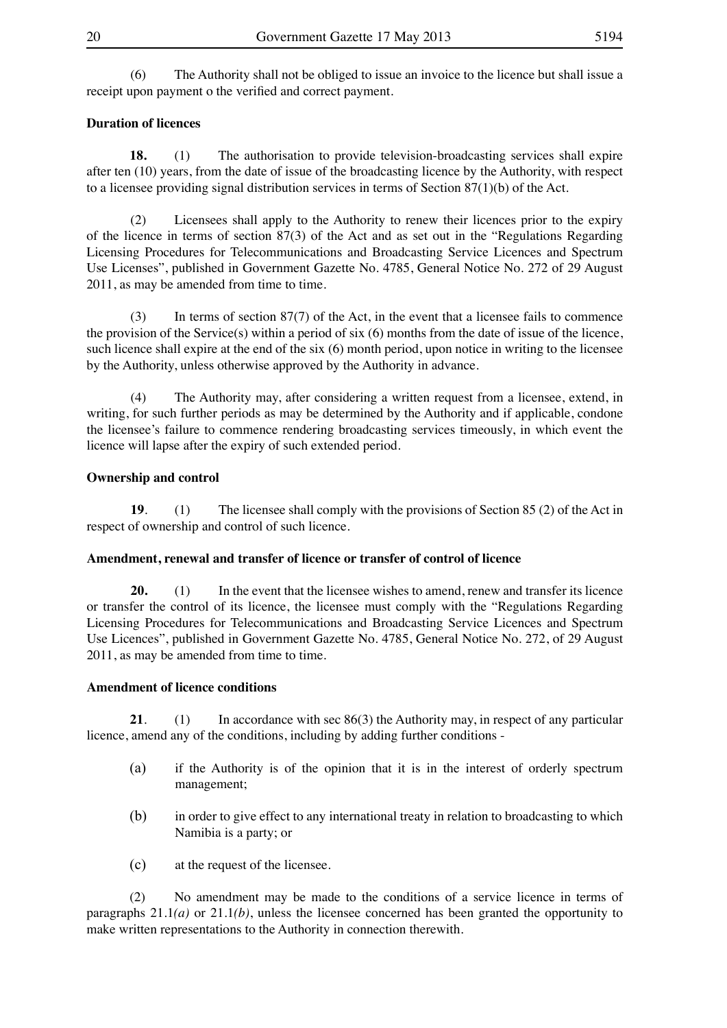(6) The Authority shall not be obliged to issue an invoice to the licence but shall issue a receipt upon payment o the verified and correct payment.

#### **Duration of licences**

**18.** (1) The authorisation to provide television-broadcasting services shall expire after ten (10) years, from the date of issue of the broadcasting licence by the Authority, with respect to a licensee providing signal distribution services in terms of Section 87(1)(b) of the Act.

 (2) Licensees shall apply to the Authority to renew their licences prior to the expiry of the licence in terms of section 87(3) of the Act and as set out in the "Regulations Regarding Licensing Procedures for Telecommunications and Broadcasting Service Licences and Spectrum Use Licenses", published in Government Gazette No. 4785, General Notice No. 272 of 29 August 2011, as may be amended from time to time.

 $(3)$  In terms of section 87(7) of the Act, in the event that a licensee fails to commence the provision of the Service(s) within a period of six (6) months from the date of issue of the licence, such licence shall expire at the end of the six (6) month period, upon notice in writing to the licensee by the Authority, unless otherwise approved by the Authority in advance.

 (4) The Authority may, after considering a written request from a licensee, extend, in writing, for such further periods as may be determined by the Authority and if applicable, condone the licensee's failure to commence rendering broadcasting services timeously, in which event the licence will lapse after the expiry of such extended period.

#### **Ownership and control**

**19.** (1) The licensee shall comply with the provisions of Section 85 (2) of the Act in respect of ownership and control of such licence.

#### **Amendment, renewal and transfer of licence or transfer of control of licence**

**20.** (1) In the event that the licensee wishes to amend, renew and transfer its licence or transfer the control of its licence, the licensee must comply with the "Regulations Regarding Licensing Procedures for Telecommunications and Broadcasting Service Licences and Spectrum Use Licences", published in Government Gazette No. 4785, General Notice No. 272, of 29 August 2011, as may be amended from time to time.

#### **Amendment of licence conditions**

**21**. (1) In accordance with sec 86(3) the Authority may, in respect of any particular licence, amend any of the conditions, including by adding further conditions -

- (a) if the Authority is of the opinion that it is in the interest of orderly spectrum management;
- (b) in order to give effect to any international treaty in relation to broadcasting to which Namibia is a party; or
- (c) at the request of the licensee.

(2) No amendment may be made to the conditions of a service licence in terms of paragraphs 21.1*(a)* or 21.1*(b)*, unless the licensee concerned has been granted the opportunity to make written representations to the Authority in connection therewith.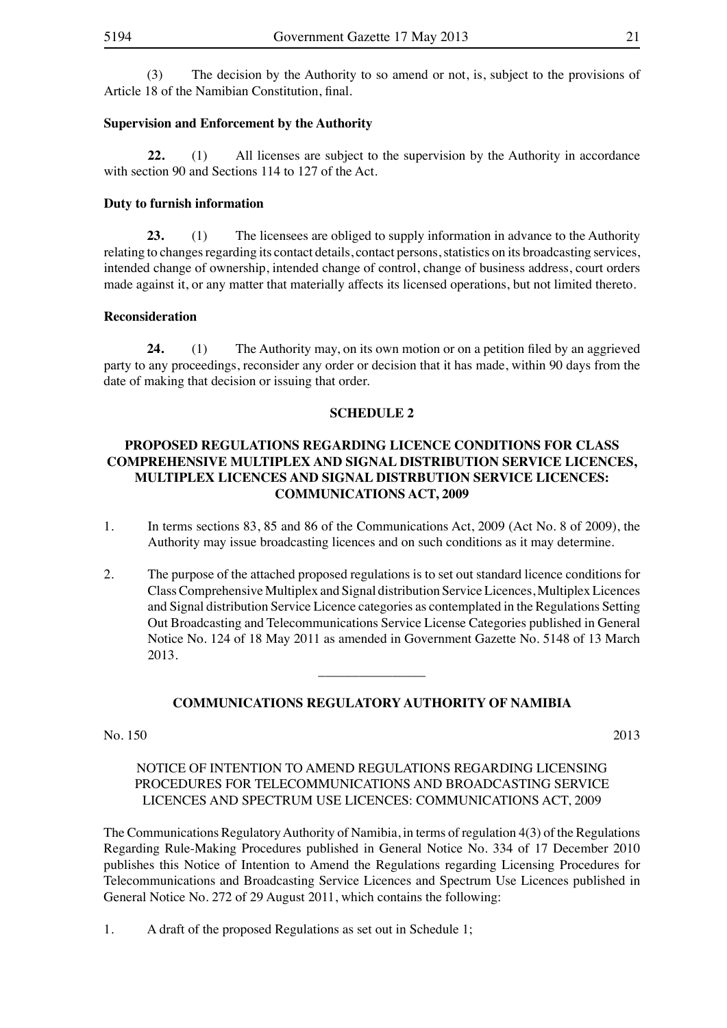(3) The decision by the Authority to so amend or not, is, subject to the provisions of Article 18 of the Namibian Constitution, final.

#### **Supervision and Enforcement by the Authority**

**22.** (1) All licenses are subject to the supervision by the Authority in accordance with section 90 and Sections 114 to 127 of the Act.

#### **Duty to furnish information**

**23.** (1) The licensees are obliged to supply information in advance to the Authority relating to changes regarding its contact details, contact persons, statistics on its broadcasting services, intended change of ownership, intended change of control, change of business address, court orders made against it, or any matter that materially affects its licensed operations, but not limited thereto.

#### **Reconsideration**

**24.** (1) The Authority may, on its own motion or on a petition filed by an aggrieved party to any proceedings, reconsider any order or decision that it has made, within 90 days from the date of making that decision or issuing that order.

#### **SCHEDULE 2**

#### **PROPOSED REGULATIONS REGARDING LICENCE CONDITIONS FOR CLASS COMPREHENSIVE MULTIPLEX AND SIGNAL DISTRIBUTION SERVICE LICENCES, MULTIPLEX LICENCES AND SIGNAL DISTRBUTION SERVICE LICENCES: COMMUNICATIONS ACT, 2009**

- 1. In terms sections 83, 85 and 86 of the Communications Act, 2009 (Act No. 8 of 2009), the Authority may issue broadcasting licences and on such conditions as it may determine.
- 2. The purpose of the attached proposed regulations is to set out standard licence conditions for ClassComprehensive Multiplex and Signal distribution ServiceLicences, MultiplexLicences and Signal distribution Service Licence categories as contemplated in the Regulations Setting Out Broadcasting and Telecommunications Service License Categories published in General Notice No. 124 of 18 May 2011 as amended in Government Gazette No. 5148 of 13 March 2013.

#### **COMMUNICATIONS REGULATORY AUTHORITY OF NAMIBIA**

 $\overline{\phantom{a}}$  , where  $\overline{\phantom{a}}$ 

No. 150 2013

#### NOTICE OF INTENTION TO AMEND REGULATIONS REGARDING LICENSING PROCEDURES FOR TELECOMMUNICATIONS AND BROADCASTING SERVICE LICENCES AND SPECTRUM USE LICENCES: COMMUNICATIONS ACT, 2009

The Communications RegulatoryAuthority of Namibia, in terms of regulation 4(3) of the Regulations Regarding Rule-Making Procedures published in General Notice No. 334 of 17 December 2010 publishes this Notice of Intention to Amend the Regulations regarding Licensing Procedures for Telecommunications and Broadcasting Service Licences and Spectrum Use Licences published in General Notice No. 272 of 29 August 2011, which contains the following:

1. A draft of the proposed Regulations as set out in Schedule 1;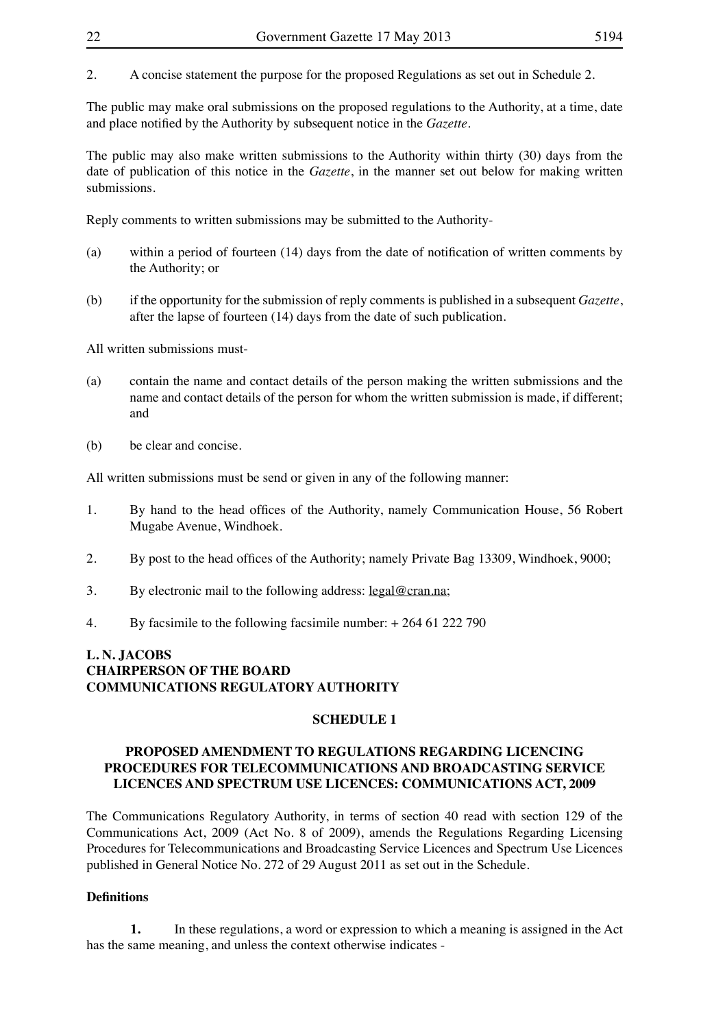2. A concise statement the purpose for the proposed Regulations as set out in Schedule 2.

The public may make oral submissions on the proposed regulations to the Authority, at a time, date and place notified by the Authority by subsequent notice in the *Gazette*.

The public may also make written submissions to the Authority within thirty (30) days from the date of publication of this notice in the *Gazette*, in the manner set out below for making written submissions.

Reply comments to written submissions may be submitted to the Authority-

- (a) within a period of fourteen (14) days from the date of notification of written comments by the Authority; or
- (b) if the opportunity for the submission of reply comments is published in a subsequent *Gazette*, after the lapse of fourteen (14) days from the date of such publication.

All written submissions must-

- (a) contain the name and contact details of the person making the written submissions and the name and contact details of the person for whom the written submission is made, if different; and
- (b) be clear and concise.

All written submissions must be send or given in any of the following manner:

- 1. By hand to the head offices of the Authority, namely Communication House, 56 Robert Mugabe Avenue, Windhoek.
- 2. By post to the head offices of the Authority; namely Private Bag 13309, Windhoek, 9000;
- 3. By electronic mail to the following address:  $legal@cran.na$ ;
- 4. By facsimile to the following facsimile number: + 264 61 222 790

#### **L. N. JACOBS CHAIRPERSON OF THE BOARD COMMUNICATIONS REGULATORY AUTHORITY**

#### **SCHEDULE 1**

#### **PROPOSED AMENDMENT TO REGULATIONS REGARDING LICENCING PROCEDURES FOR TELECOMMUNICATIONS AND BROADCASTING SERVICE LICENCES AND SPECTRUM USE LICENCES: COMMUNICATIONS ACT, 2009**

The Communications Regulatory Authority, in terms of section 40 read with section 129 of the Communications Act, 2009 (Act No. 8 of 2009), amends the Regulations Regarding Licensing Procedures for Telecommunications and Broadcasting Service Licences and Spectrum Use Licences published in General Notice No. 272 of 29 August 2011 as set out in the Schedule.

#### **Definitions**

**1.** In these regulations, a word or expression to which a meaning is assigned in the Act has the same meaning, and unless the context otherwise indicates -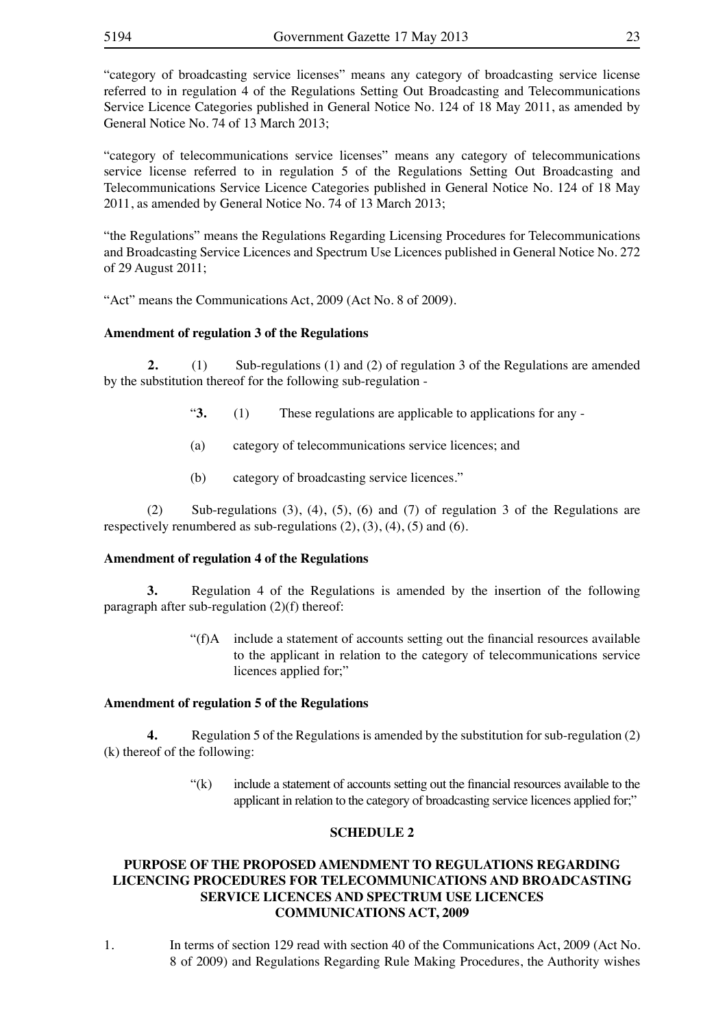"category of broadcasting service licenses" means any category of broadcasting service license referred to in regulation 4 of the Regulations Setting Out Broadcasting and Telecommunications Service Licence Categories published in General Notice No. 124 of 18 May 2011, as amended by General Notice No. 74 of 13 March 2013;

"category of telecommunications service licenses" means any category of telecommunications service license referred to in regulation 5 of the Regulations Setting Out Broadcasting and Telecommunications Service Licence Categories published in General Notice No. 124 of 18 May 2011, as amended by General Notice No. 74 of 13 March 2013;

"the Regulations" means the Regulations Regarding Licensing Procedures for Telecommunications and Broadcasting Service Licences and Spectrum Use Licences published in General Notice No. 272 of 29 August 2011;

"Act" means the Communications Act, 2009 (Act No. 8 of 2009).

#### **Amendment of regulation 3 of the Regulations**

**2.** (1) Sub-regulations (1) and (2) of regulation 3 of the Regulations are amended by the substitution thereof for the following sub-regulation -

- "**3.** (1) These regulations are applicable to applications for any -
- (a) category of telecommunications service licences; and
- (b) category of broadcasting service licences."

(2) Sub-regulations (3), (4), (5), (6) and (7) of regulation 3 of the Regulations are respectively renumbered as sub-regulations  $(2)$ ,  $(3)$ ,  $(4)$ ,  $(5)$  and  $(6)$ .

#### **Amendment of regulation 4 of the Regulations**

**3.** Regulation 4 of the Regulations is amended by the insertion of the following paragraph after sub-regulation (2)(f) thereof:

> "(f)A include a statement of accounts setting out the financial resources available to the applicant in relation to the category of telecommunications service licences applied for;"

#### **Amendment of regulation 5 of the Regulations**

**4.** Regulation 5 of the Regulations is amended by the substitution for sub-regulation (2) (k) thereof of the following:

> $f(k)$  include a statement of accounts setting out the financial resources available to the applicant in relation to the category of broadcasting service licences applied for;"

#### **SCHEDULE 2**

#### **PURPOSE OF THE PROPOSED AMENDMENT TO REGULATIONS REGARDING LICENCING PROCEDURES FOR TELECOMMUNICATIONS AND BROADCASTING SERVICE LICENCES AND SPECTRUM USE LICENCES COMMUNICATIONS ACT, 2009**

1. In terms of section 129 read with section 40 of the Communications Act, 2009 (Act No. 8 of 2009) and Regulations Regarding Rule Making Procedures, the Authority wishes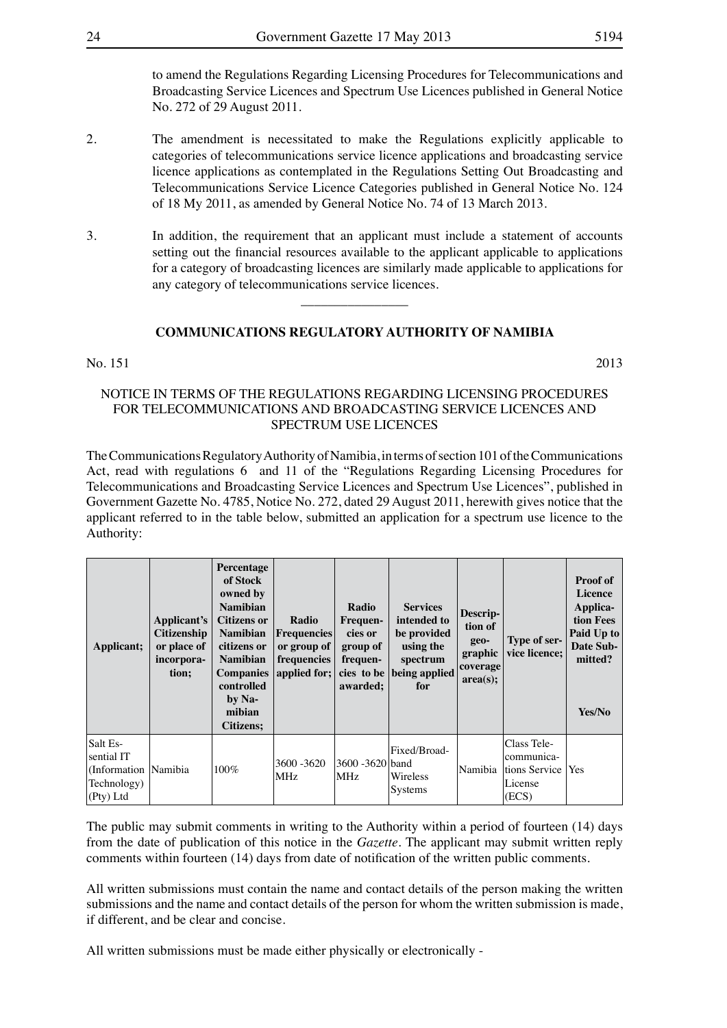to amend the Regulations Regarding Licensing Procedures for Telecommunications and Broadcasting Service Licences and Spectrum Use Licences published in General Notice No. 272 of 29 August 2011.

- 2. The amendment is necessitated to make the Regulations explicitly applicable to categories of telecommunications service licence applications and broadcasting service licence applications as contemplated in the Regulations Setting Out Broadcasting and Telecommunications Service Licence Categories published in General Notice No. 124 of 18 My 2011, as amended by General Notice No. 74 of 13 March 2013.
- 3. In addition, the requirement that an applicant must include a statement of accounts setting out the financial resources available to the applicant applicable to applications for a category of broadcasting licences are similarly made applicable to applications for any category of telecommunications service licences.

#### **COMMUNICATIONS REGULATORY AUTHORITY OF NAMIBIA**

 $\overline{\phantom{a}}$  , where  $\overline{\phantom{a}}$ 

#### $\text{No. } 151$  2013

#### NOTICE IN TERMS OF THE REGULATIONS REGARDING LICENSING PROCEDURES FOR TELECOMMUNICATIONS AND BROADCASTING SERVICE LICENCES AND SPECTRUM USE LICENCES

The Communications Regulatory Authority of Namibia, in terms of section 101 of the Communications Act, read with regulations 6 and 11 of the "Regulations Regarding Licensing Procedures for Telecommunications and Broadcasting Service Licences and Spectrum Use Licences", published in Government Gazette No. 4785, Notice No. 272, dated 29 August 2011, herewith gives notice that the applicant referred to in the table below, submitted an application for a spectrum use licence to the Authority:

| Applicant;                                                                   | Applicant's<br><b>Citizenship</b><br>or place of<br>incorpora-<br>tion; | Percentage<br>of Stock<br>owned by<br><b>Namibian</b><br><b>Citizens or</b><br><b>Namibian</b><br>citizens or<br><b>Namibian</b><br><b>Companies</b><br>controlled<br>by Na-<br>mibian<br><b>Citizens:</b> | Radio<br><b>Frequencies</b><br>or group of<br>frequencies<br>applied for; | Radio<br><b>Frequen-</b><br>cies or<br>group of<br>frequen-<br>awarded; | <b>Services</b><br>intended to<br>be provided<br>using the<br>spectrum<br>cies to be being applied<br>for | Descrip-<br>tion of<br>geo-<br>graphic<br>coverage<br>area(s); | Type of ser-<br>vice licence;                                                 | <b>Proof of</b><br>Licence<br>Applica-<br>tion Fees<br>Paid Up to<br>Date Sub-<br>mitted?<br>Yes/No |
|------------------------------------------------------------------------------|-------------------------------------------------------------------------|------------------------------------------------------------------------------------------------------------------------------------------------------------------------------------------------------------|---------------------------------------------------------------------------|-------------------------------------------------------------------------|-----------------------------------------------------------------------------------------------------------|----------------------------------------------------------------|-------------------------------------------------------------------------------|-----------------------------------------------------------------------------------------------------|
| Salt Es-<br>sential IT<br>(Information Namibia<br>Technology)<br>$(Pty)$ Ltd |                                                                         | 100%                                                                                                                                                                                                       | 3600 - 3620<br><b>MHz</b>                                                 | 3600 - 3620 band<br>MHz.                                                | Fixed/Broad-<br>Wireless<br>Systems                                                                       |                                                                | Class Tele-<br>communica-<br>Namibia Itions Service   Yes<br>License<br>(ECS) |                                                                                                     |

The public may submit comments in writing to the Authority within a period of fourteen (14) days from the date of publication of this notice in the *Gazette.* The applicant may submit written reply comments within fourteen (14) days from date of notification of the written public comments.

All written submissions must contain the name and contact details of the person making the written submissions and the name and contact details of the person for whom the written submission is made, if different, and be clear and concise.

All written submissions must be made either physically or electronically -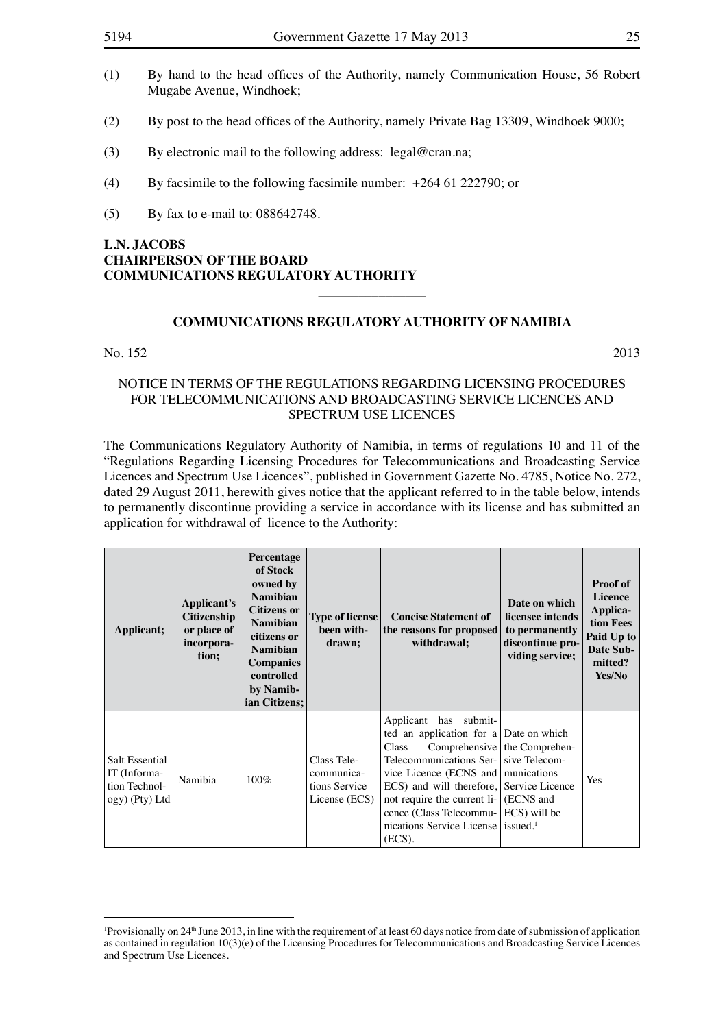- (1) By hand to the head offices of the Authority, namely Communication House, 56 Robert Mugabe Avenue, Windhoek;
- (2) By post to the head offices of the Authority, namely Private Bag 13309, Windhoek 9000;
- (3) By electronic mail to the following address: legal@cran.na;
- (4) By facsimile to the following facsimile number:  $+264$  61 222790; or
- (5) By fax to e-mail to:  $088642748$ .

#### **L.N. JACOBS CHAIRPERSON OF THE BOARD COMMUNICATIONS REGULATORY AUTHORITY**

#### **COMMUNICATIONS REGULATORY AUTHORITY OF NAMIBIA**

 $\overline{\phantom{a}}$  , where  $\overline{\phantom{a}}$ 

#### No.  $152$  2013

#### NOTICE IN TERMS OF THE REGULATIONS REGARDING LICENSING PROCEDURES FOR TELECOMMUNICATIONS AND BROADCASTING SERVICE LICENCES AND SPECTRUM USE LICENCES

The Communications Regulatory Authority of Namibia, in terms of regulations 10 and 11 of the "Regulations Regarding Licensing Procedures for Telecommunications and Broadcasting Service Licences and Spectrum Use Licences", published in Government Gazette No. 4785, Notice No. 272, dated 29 August 2011, herewith gives notice that the applicant referred to in the table below, intends to permanently discontinue providing a service in accordance with its license and has submitted an application for withdrawal of licence to the Authority:

| Applicant;                                                        | Applicant's<br><b>Citizenship</b><br>or place of<br>incorpora-<br>tion; | Percentage<br>of Stock<br>owned by<br><b>Namibian</b><br><b>Citizens or</b><br><b>Namibian</b><br>citizens or<br><b>Namibian</b><br><b>Companies</b><br>controlled<br>by Namib-<br>ian Citizens; | <b>Type of license</b><br>been with-<br>drawn;              | <b>Concise Statement of</b><br>the reasons for proposed<br>withdrawal;                                                                                                                                                                                                                                                                         | Date on which<br>licensee intends<br>to permanently<br>discontinue pro-<br>viding service; | <b>Proof of</b><br><b>Licence</b><br>Applica-<br>tion Fees<br>Paid Up to<br>Date Sub-<br>mitted?<br>Yes/No |
|-------------------------------------------------------------------|-------------------------------------------------------------------------|--------------------------------------------------------------------------------------------------------------------------------------------------------------------------------------------------|-------------------------------------------------------------|------------------------------------------------------------------------------------------------------------------------------------------------------------------------------------------------------------------------------------------------------------------------------------------------------------------------------------------------|--------------------------------------------------------------------------------------------|------------------------------------------------------------------------------------------------------------|
| Salt Essential<br>IT (Informa-<br>tion Technol-<br>ogy) (Pty) Ltd | Namibia                                                                 | $100\%$                                                                                                                                                                                          | Class Tele-<br>communica-<br>tions Service<br>License (ECS) | Applicant has submit-<br>ted an application for a Date on which<br><b>Class</b><br>Telecommunications Ser- sive Telecom-<br>vice Licence (ECNS and munications<br>ECS) and will therefore, Service Licence<br>not require the current li-<br>cence (Class Telecommu- ECS) will be<br>nications Service License sissued. <sup>1</sup><br>(ECS). | Comprehensive the Comprehen-<br>(ECNS and                                                  | <b>Yes</b>                                                                                                 |

<sup>&</sup>lt;sup>1</sup>Provisionally on 24<sup>th</sup> June 2013, in line with the requirement of at least 60 days notice from date of submission of application as contained in regulation 10(3)(e) of the Licensing Procedures for Telecommunications and Broadcasting Service Licences and Spectrum Use Licences.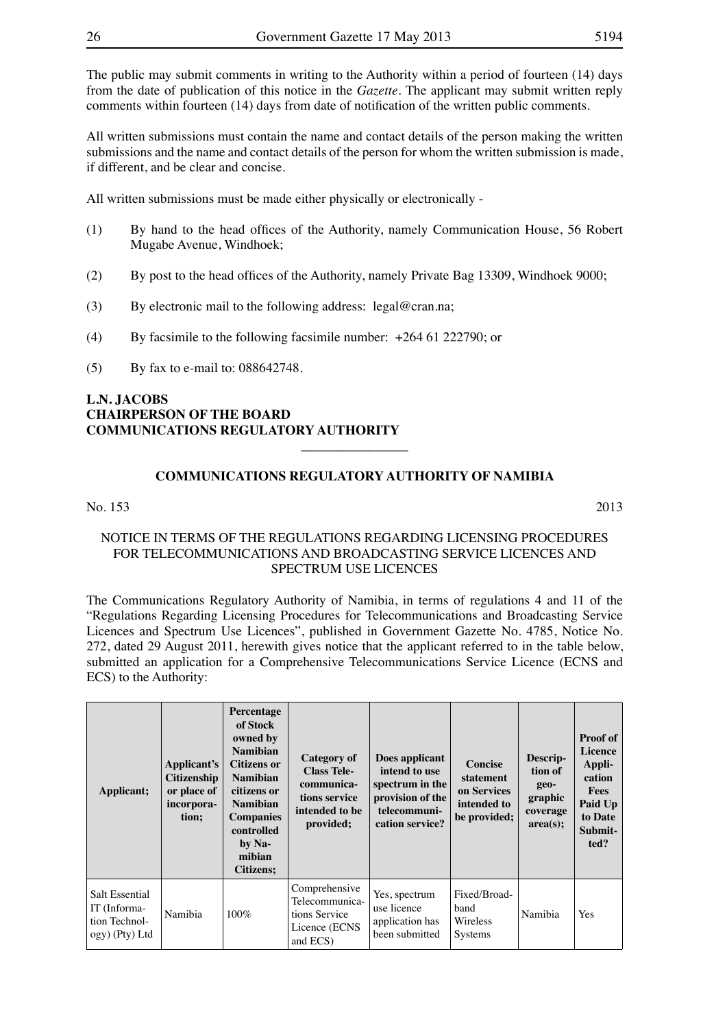The public may submit comments in writing to the Authority within a period of fourteen (14) days from the date of publication of this notice in the *Gazette.* The applicant may submit written reply comments within fourteen (14) days from date of notification of the written public comments.

All written submissions must contain the name and contact details of the person making the written submissions and the name and contact details of the person for whom the written submission is made, if different, and be clear and concise.

All written submissions must be made either physically or electronically -

- (1) By hand to the head offices of the Authority, namely Communication House, 56 Robert Mugabe Avenue, Windhoek;
- (2) By post to the head offices of the Authority, namely Private Bag 13309, Windhoek 9000;
- (3) By electronic mail to the following address: legal@cran.na;
- (4) By facsimile to the following facsimile number: +264 61 222790; or
- (5) By fax to e-mail to:  $088642748$ .

#### **L.N. JACOBS CHAIRPERSON OF THE BOARD COMMUNICATIONS REGULATORY AUTHORITY**

#### **COMMUNICATIONS REGULATORY AUTHORITY OF NAMIBIA**

 $\overline{\phantom{a}}$  , where  $\overline{\phantom{a}}$ 

#### No. 153 2013

#### NOTICE IN TERMS OF THE REGULATIONS REGARDING LICENSING PROCEDURES FOR TELECOMMUNICATIONS AND BROADCASTING SERVICE LICENCES AND SPECTRUM USE LICENCES

The Communications Regulatory Authority of Namibia, in terms of regulations 4 and 11 of the "Regulations Regarding Licensing Procedures for Telecommunications and Broadcasting Service Licences and Spectrum Use Licences", published in Government Gazette No. 4785, Notice No. 272, dated 29 August 2011, herewith gives notice that the applicant referred to in the table below, submitted an application for a Comprehensive Telecommunications Service Licence (ECNS and ECS) to the Authority:

| Applicant;                                                        | Applicant's<br><b>Citizenship</b><br>or place of<br>incorpora-<br>tion; | Percentage<br>of Stock<br>owned by<br><b>Namibian</b><br><b>Citizens or</b><br><b>Namibian</b><br>citizens or<br><b>Namibian</b><br><b>Companies</b><br>controlled<br>by Na-<br>mibian<br><b>Citizens:</b> | <b>Category of</b><br><b>Class Tele-</b><br>communica-<br>tions service<br>intended to be<br>provided; | Does applicant<br>intend to use<br>spectrum in the<br>provision of the<br>telecommuni-<br>cation service? | <b>Concise</b><br>statement<br>on Services<br>intended to<br>be provided; | Descrip-<br>tion of<br>geo-<br>graphic<br>coverage<br>area(s); | <b>Proof of</b><br><b>Licence</b><br>Appli-<br>cation<br><b>Fees</b><br>Paid Up<br>to Date<br>Submit-<br>ted? |
|-------------------------------------------------------------------|-------------------------------------------------------------------------|------------------------------------------------------------------------------------------------------------------------------------------------------------------------------------------------------------|--------------------------------------------------------------------------------------------------------|-----------------------------------------------------------------------------------------------------------|---------------------------------------------------------------------------|----------------------------------------------------------------|---------------------------------------------------------------------------------------------------------------|
| Salt Essential<br>IT (Informa-<br>tion Technol-<br>ogy) (Pty) Ltd | Namibia                                                                 | $100\%$                                                                                                                                                                                                    | Comprehensive<br>Telecommunica-<br>tions Service<br>Licence (ECNS<br>and ECS)                          | Yes, spectrum<br>use licence<br>application has<br>been submitted                                         | Fixed/Broad-<br>band<br>Wireless<br><b>Systems</b>                        | Namibia                                                        | <b>Yes</b>                                                                                                    |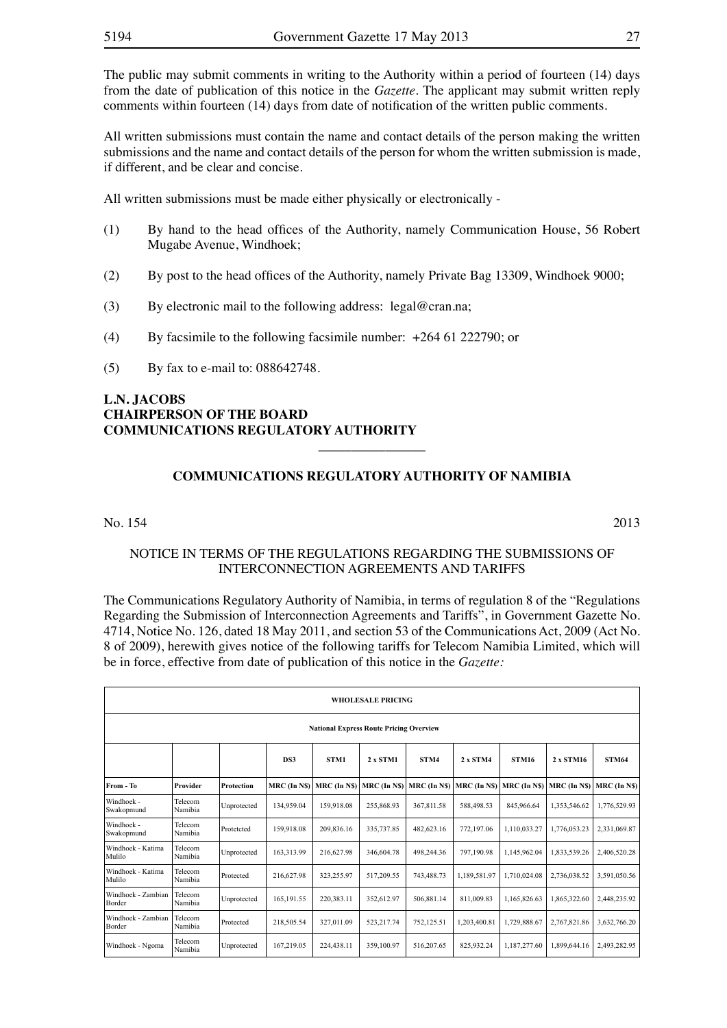The public may submit comments in writing to the Authority within a period of fourteen (14) days from the date of publication of this notice in the *Gazette.* The applicant may submit written reply comments within fourteen (14) days from date of notification of the written public comments.

All written submissions must contain the name and contact details of the person making the written submissions and the name and contact details of the person for whom the written submission is made, if different, and be clear and concise.

All written submissions must be made either physically or electronically -

- (1) By hand to the head offices of the Authority, namely Communication House, 56 Robert Mugabe Avenue, Windhoek;
- (2) By post to the head offices of the Authority, namely Private Bag 13309, Windhoek 9000;
- (3) By electronic mail to the following address:  $legal@cran.na$ ;
- (4) By facsimile to the following facsimile number:  $+26461222790$ ; or
- (5) By fax to e-mail to:  $088642748$ .

#### **L.N. JACOBS CHAIRPERSON OF THE BOARD COMMUNICATIONS REGULATORY AUTHORITY**

#### **COMMUNICATIONS REGULATORY AUTHORITY OF NAMIBIA**

 $\overline{\phantom{a}}$  , where  $\overline{\phantom{a}}$ 

#### No. 154 2013

#### NOTICE IN TERMS OF THE REGULATIONS REGARDING THE SUBMISSIONS OF INTERCONNECTION AGREEMENTS AND TARIFFS

The Communications Regulatory Authority of Namibia, in terms of regulation 8 of the "Regulations Regarding the Submission of Interconnection Agreements and Tariffs", in Government Gazette No. 4714, Notice No. 126, dated 18 May 2011, and section 53 of the Communications Act, 2009 (Act No. 8 of 2009), herewith gives notice of the following tariffs for Telecom Namibia Limited, which will be in force, effective from date of publication of this notice in the *Gazette:* 

| <b>WHOLESALE PRICING</b>                       |                                                                                          |             |              |              |              |              |              |              |                |              |  |
|------------------------------------------------|------------------------------------------------------------------------------------------|-------------|--------------|--------------|--------------|--------------|--------------|--------------|----------------|--------------|--|
| <b>National Express Route Pricing Overview</b> |                                                                                          |             |              |              |              |              |              |              |                |              |  |
|                                                | STM4<br>STM1<br>2 x STM1<br>2 x STM4<br><b>STM16</b><br>2 x STM16<br><b>STM64</b><br>DS3 |             |              |              |              |              |              |              |                |              |  |
| From - To                                      | Provider                                                                                 | Protection  | MRC (In N\$) | MRC (In N\$) | MRC (In N\$) | MRC (In N\$) | MRC (In N\$) | MRC (In N\$) | $MRC$ (In N\$) | MRC (In N\$) |  |
| Windhoek -<br>Swakopmund                       | Telecom<br>Namibia                                                                       | Unprotected | 134.959.04   | 159.918.08   | 255,868.93   | 367,811.58   | 588,498.53   | 845.966.64   | 1,353,546.62   | 1,776,529.93 |  |
| Windhoek -<br>Swakopmund                       | Telecom<br>Namibia                                                                       | Protetcted  | 159,918.08   | 209,836.16   | 335,737.85   | 482,623.16   | 772,197.06   | 1,110,033.27 | 1,776,053.23   | 2,331,069.87 |  |
| Windhoek - Katima<br>Mulilo                    | Telecom<br>Namibia                                                                       | Unprotected | 163,313.99   | 216,627.98   | 346,604.78   | 498,244.36   | 797,190.98   | 1,145,962.04 | 1,833,539.26   | 2,406,520.28 |  |
| Windhoek - Katima<br>Mulilo                    | Telecom<br>Namibia                                                                       | Protected   | 216,627.98   | 323,255.97   | 517,209.55   | 743,488.73   | 1,189,581.97 | 1,710,024.08 | 2,736,038.52   | 3,591,050.56 |  |
| Windhoek - Zambian<br>Border                   | Telecom<br>Namibia                                                                       | Unprotected | 165.191.55   | 220.383.11   | 352,612.97   | 506,881.14   | 811.009.83   | 1,165,826.63 | 1,865,322.60   | 2,448,235.92 |  |
| Windhoek - Zambian<br>Border                   | Telecom<br>Namibia                                                                       | Protected   | 218,505.54   | 327,011.09   | 523,217.74   | 752,125.51   | 1,203,400.81 | 1,729,888.67 | 2,767,821.86   | 3,632,766.20 |  |
| Windhoek - Ngoma                               | Telecom<br>Namibia                                                                       | Unprotected | 167,219.05   | 224,438.11   | 359,100.97   | 516,207.65   | 825,932.24   | 1,187,277.60 | 1,899,644.16   | 2,493,282.95 |  |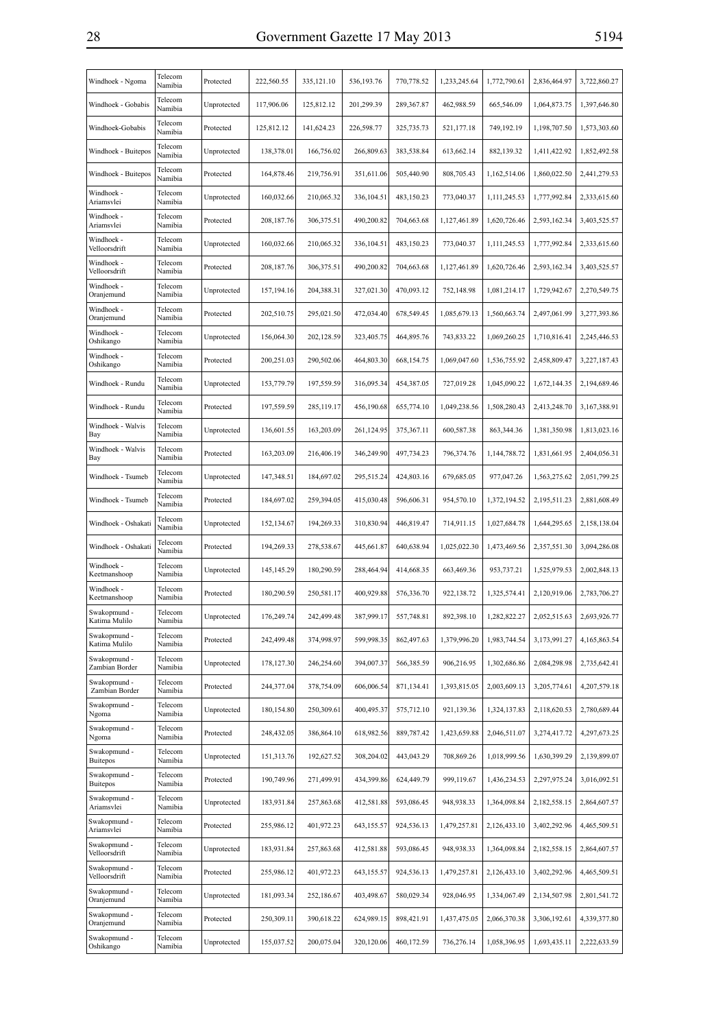| Windhoek - Ngoma                | Telecom<br>Namibia | Protected   | 222,560.55   | 335,121.10  | 536,193.76 | 770,778.52            | 1,233,245.64 | 1,772,790.61 | 2,836,464.97 | 3,722,860.27                |
|---------------------------------|--------------------|-------------|--------------|-------------|------------|-----------------------|--------------|--------------|--------------|-----------------------------|
| Windhoek - Gobabis              | Telecom<br>Namibia | Unprotected | 117,906.06   | 125,812.12  | 201,299.39 | 289,367.87            | 462,988.59   | 665,546.09   | 1,064,873.75 | 1,397,646.80                |
| Windhoek-Gobabis                | Telecom<br>Namibia | Protected   | 125,812.12   | 141,624.23  | 226,598.77 | 325,735.73            | 521,177.18   | 749,192.19   | 1,198,707.50 | 1,573,303.60                |
| Windhoek - Buitepos             | Telecom<br>Namibia | Unprotected | 138,378.01   | 166,756.02  | 266,809.63 | 383,538.84            | 613,662.14   | 882,139.32   | 1,411,422.92 | 1,852,492.58                |
| Windhoek - Buitepos             | Telecom<br>Namibia | Protected   | 164,878.46   | 219,756.91  | 351,611.06 | 505,440.90            | 808,705.43   | 1,162,514.06 | 1,860,022.50 | 2,441,279.53                |
| Windhoek -<br>Ariamsvlei        | Telecom<br>Namibia | Unprotected | 160,032.66   | 210,065.32  | 336,104.51 | 483,150.23            | 773,040.37   | 1,111,245.53 | 1,777,992.84 | 2,333,615.60                |
| Windhoek -<br>Ariamsvlei        | Telecom<br>Namibia | Protected   | 208, 187. 76 | 306, 375.51 | 490,200.82 | 704,663.68            | 1,127,461.89 | 1,620,726.46 | 2,593,162.34 | 3,403,525.57                |
| Windhoek -<br>Velloorsdrift     | Telecom<br>Namibia | Unprotected | 160,032.66   | 210,065.32  | 336,104.51 | 483,150.23            | 773,040.37   | 1,111,245.53 | 1,777,992.84 | 2,333,615.60                |
| Windhoek -<br>Velloorsdrift     | Telecom<br>Namibia | Protected   | 208, 187. 76 | 306, 375.51 | 490,200.82 | 704,663.68            | 1,127,461.89 | 1,620,726.46 | 2,593,162.34 | 3,403,525.57                |
| Windhoek -<br>Oranjemund        | Telecom<br>Namibia | Unprotected | 157,194.16   | 204,388.31  | 327,021.30 | 470,093.12            | 752,148.98   | 1,081,214.17 | 1,729,942.67 | 2,270,549.75                |
| Windhoek -<br>Oranjemund        | Telecom<br>Namibia | Protected   | 202,510.75   | 295,021.50  | 472,034.40 | 678,549.45            | 1,085,679.13 | 1,560,663.74 | 2,497,061.99 | 3,277,393.86                |
| Windhoek -<br>Oshikango         | Telecom<br>Namibia | Unprotected | 156,064.30   | 202,128.59  | 323,405.75 | 464,895.76            | 743,833.22   | 1,069,260.25 | 1,710,816.41 | 2,245,446.53                |
| Windhoek -<br>Oshikango         | Telecom<br>Namibia | Protected   | 200,251.03   | 290,502.06  | 464,803.30 | 668,154.75            | 1,069,047.60 | 1,536,755.92 | 2,458,809.47 | 3,227,187.43                |
| Windhoek - Rundu                | Telecom<br>Namibia | Unprotected | 153,779.79   | 197,559.59  | 316,095.34 | 454,387.05            | 727,019.28   | 1,045,090.22 | 1,672,144.35 | 2,194,689.46                |
| Windhoek - Rundu                | Telecom<br>Namibia | Protected   | 197,559.59   | 285,119.17  | 456,190.68 | 655,774.10            | 1,049,238.56 | 1,508,280.43 | 2,413,248.70 | 3,167,388.91                |
| Windhoek - Walvis<br>Bay        | Telecom<br>Namibia | Unprotected | 136,601.55   | 163,203.09  | 261,124.95 | 375, 367.11           | 600,587.38   | 863, 344. 36 | 1,381,350.98 | 1,813,023.16                |
| Windhoek - Walvis<br>Bay        | Telecom<br>Namibia | Protected   | 163,203.09   | 216,406.19  | 346,249.90 | 497,734.23            | 796,374.76   | 1,144,788.72 | 1,831,661.95 | 2,404,056.31                |
| Windhoek - Tsumeb               | Telecom<br>Namibia | Unprotected | 147,348.51   | 184,697.02  | 295,515.24 | 424,803.16            | 679,685.05   | 977,047.26   | 1,563,275.62 | 2,051,799.25                |
| Windhoek - Tsumeb               | Telecom<br>Namibia | Protected   | 184,697.02   | 259,394.05  | 415,030.48 | 596,606.31            | 954,570.10   | 1,372,194.52 | 2,195,511.23 | 2,881,608.49                |
| Windhoek - Oshakati             | Telecom<br>Namibia | Unprotected | 152,134.67   | 194,269.33  | 310,830.94 | 446,819.47            | 714,911.15   | 1,027,684.78 | 1,644,295.65 | 2,158,138.04                |
| Windhoek - Oshakati             | Telecom<br>Namibia | Protected   | 194,269.33   | 278,538.67  | 445,661.87 | 640,638.94            | 1,025,022.30 | 1,473,469.56 | 2,357,551.30 | 3,094,286.08                |
| Windhoek -<br>Keetmanshoop      | Telecom<br>Namibia | Unprotected | 145, 145. 29 | 180,290.59  | 288,464.94 | 414,668.35            | 663,469.36   | 953,737.21   | 1,525,979.53 | 2,002,848.13                |
| Windhoek -<br>Keetmanshoop      | Telecom<br>Namibia | Protected   | 180,290.59   | 250,581.17  | 400,929.88 | 576,336.70            | 922,138.72   | 1,325,574.41 | 2,120,919.06 | 2,783,706.27                |
| Swakopmund -<br>Katima Mulilo   | Telecom<br>Namibia | Unprotected | 176,249.74   | 242,499.48  |            | 387,999.17 557,748.81 | 892,398.10   | 1,282,822.27 |              | 2,052,515.63   2,693,926.77 |
| Swakopmund -<br>Katima Mulilo   | Telecom<br>Namibia | Protected   | 242,499.48   | 374,998.97  | 599,998.35 | 862,497.63            | 1,379,996.20 | 1,983,744.54 | 3,173,991.27 | 4,165,863.54                |
| Swakopmund -<br>Zambian Border  | Telecom<br>Namibia | Unprotected | 178,127.30   | 246,254.60  | 394,007.37 | 566,385.59            | 906,216.95   | 1,302,686.86 | 2,084,298.98 | 2,735,642.41                |
| Swakopmund -<br>Zambian Border  | Telecom<br>Namibia | Protected   | 244,377.04   | 378,754.09  | 606,006.54 | 871,134.41            | 1,393,815.05 | 2,003,609.13 | 3,205,774.61 | 4,207,579.18                |
| Swakopmund -<br>Ngoma           | Telecom<br>Namibia | Unprotected | 180,154.80   | 250,309.61  | 400,495.37 | 575,712.10            | 921,139.36   | 1,324,137.83 | 2,118,620.53 | 2,780,689.44                |
| Swakopmund -<br>Ngoma           | Telecom<br>Namibia | Protected   | 248,432.05   | 386,864.10  | 618,982.56 | 889,787.42            | 1,423,659.88 | 2,046,511.07 | 3,274,417.72 | 4,297,673.25                |
| Swakopmund -<br><b>Buitepos</b> | Telecom<br>Namibia | Unprotected | 151,313.76   | 192,627.52  | 308,204.02 | 443,043.29            | 708,869.26   | 1,018,999.56 | 1,630,399.29 | 2,139,899.07                |
| Swakopmund -<br><b>Buitepos</b> | Telecom<br>Namibia | Protected   | 190,749.96   | 271,499.91  | 434,399.86 | 624,449.79            | 999,119.67   | 1,436,234.53 | 2,297,975.24 | 3,016,092.51                |
| Swakopmund -<br>Ariamsvlei      | Telecom<br>Namibia | Unprotected | 183,931.84   | 257,863.68  | 412,581.88 | 593,086.45            | 948,938.33   | 1,364,098.84 | 2,182,558.15 | 2,864,607.57                |
| Swakopmund -<br>Ariamsvlei      | Telecom<br>Namibia | Protected   | 255,986.12   | 401,972.23  | 643,155.57 | 924,536.13            | 1,479,257.81 | 2,126,433.10 | 3,402,292.96 | 4,465,509.51                |
| Swakopmund -<br>Velloorsdrift   | Telecom<br>Namibia | Unprotected | 183,931.84   | 257,863.68  | 412,581.88 | 593,086.45            | 948,938.33   | 1,364,098.84 | 2,182,558.15 | 2,864,607.57                |
| Swakopmund -<br>Velloorsdrift   | Telecom<br>Namibia | Protected   | 255,986.12   | 401,972.23  | 643,155.57 | 924,536.13            | 1,479,257.81 | 2,126,433.10 | 3,402,292.96 | 4,465,509.51                |
| Swakopmund -<br>Oranjemund      | Telecom<br>Namibia | Unprotected | 181,093.34   | 252,186.67  | 403,498.67 | 580,029.34            | 928,046.95   | 1,334,067.49 | 2,134,507.98 | 2,801,541.72                |
| Swakopmund -<br>Oranjemund      | Telecom<br>Namibia | Protected   | 250,309.11   | 390,618.22  | 624,989.15 | 898,421.91            | 1,437,475.05 | 2,066,370.38 | 3,306,192.61 | 4,339,377.80                |
| Swakopmund -<br>Oshikango       | Telecom<br>Namibia | Unprotected | 155,037.52   | 200,075.04  | 320,120.06 | 460,172.59            | 736,276.14   | 1,058,396.95 | 1,693,435.11 | 2,222,633.59                |